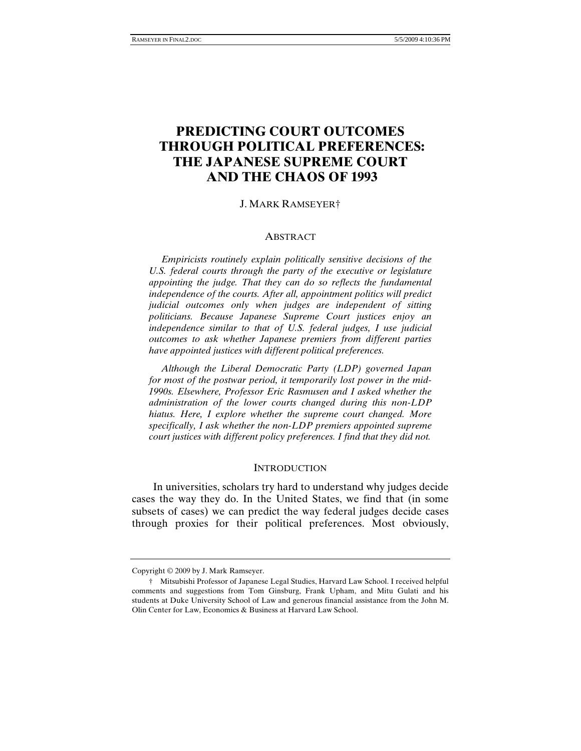# **PREDICTING COURT OUTCOMES THROUGH POLITICAL PREFERENCES: THE JAPANESE SUPREME COURT AND THE CHAOS OF 1993**

### J. MARK RAMSEYER†

#### ABSTRACT

 *Empiricists routinely explain politically sensitive decisions of the U.S. federal courts through the party of the executive or legislature appointing the judge. That they can do so reflects the fundamental independence of the courts. After all, appointment politics will predict judicial outcomes only when judges are independent of sitting politicians. Because Japanese Supreme Court justices enjoy an independence similar to that of U.S. federal judges, I use judicial outcomes to ask whether Japanese premiers from different parties have appointed justices with different political preferences.* 

 *Although the Liberal Democratic Party (LDP) governed Japan for most of the postwar period, it temporarily lost power in the mid-1990s. Elsewhere, Professor Eric Rasmusen and I asked whether the administration of the lower courts changed during this non-LDP hiatus. Here, I explore whether the supreme court changed. More specifically, I ask whether the non-LDP premiers appointed supreme court justices with different policy preferences. I find that they did not.* 

#### **INTRODUCTION**

In universities, scholars try hard to understand why judges decide cases the way they do. In the United States, we find that (in some subsets of cases) we can predict the way federal judges decide cases through proxies for their political preferences. Most obviously,

Copyright © 2009 by J. Mark Ramseyer.

 <sup>†</sup> Mitsubishi Professor of Japanese Legal Studies, Harvard Law School. I received helpful comments and suggestions from Tom Ginsburg, Frank Upham, and Mitu Gulati and his students at Duke University School of Law and generous financial assistance from the John M. Olin Center for Law, Economics & Business at Harvard Law School.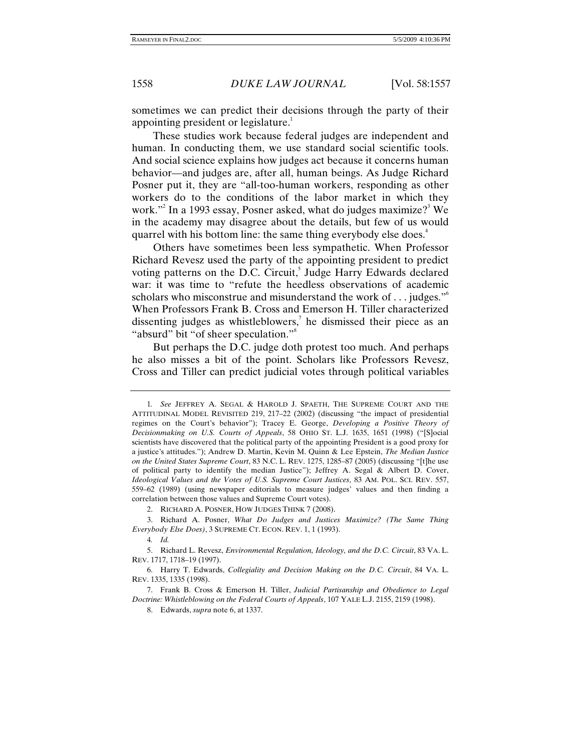sometimes we can predict their decisions through the party of their appointing president or legislature.<sup>1</sup>

These studies work because federal judges are independent and human. In conducting them, we use standard social scientific tools. And social science explains how judges act because it concerns human behavior—and judges are, after all, human beings. As Judge Richard Posner put it, they are "all-too-human workers, responding as other workers do to the conditions of the labor market in which they work."<sup>2</sup> In a 1993 essay, Posner asked, what do judges maximize?<sup>3</sup> We in the academy may disagree about the details, but few of us would quarrel with his bottom line: the same thing everybody else does.<sup>4</sup>

Others have sometimes been less sympathetic. When Professor Richard Revesz used the party of the appointing president to predict voting patterns on the D.C. Circuit,<sup>5</sup> Judge Harry Edwards declared war: it was time to "refute the heedless observations of academic scholars who misconstrue and misunderstand the work of ... judges."<sup>6</sup> When Professors Frank B. Cross and Emerson H. Tiller characterized dissenting judges as whistleblowers,<sup>7</sup> he dismissed their piece as an "absurd" bit "of sheer speculation."<sup>8</sup>

But perhaps the D.C. judge doth protest too much. And perhaps he also misses a bit of the point. Scholars like Professors Revesz, Cross and Tiller can predict judicial votes through political variables

<sup>1</sup>*. See* JEFFREY A. SEGAL & HAROLD J. SPAETH, THE SUPREME COURT AND THE ATTITUDINAL MODEL REVISITED 219, 217–22 (2002) (discussing "the impact of presidential regimes on the Court's behavior"); Tracey E. George, *Developing a Positive Theory of Decisionmaking on U.S. Courts of Appeals*, 58 OHIO ST. L.J. 1635, 1651 (1998) ("[S]ocial scientists have discovered that the political party of the appointing President is a good proxy for a justice's attitudes."); Andrew D. Martin, Kevin M. Quinn & Lee Epstein, *The Median Justice on the United States Supreme Court*, 83 N.C. L. REV. 1275, 1285–87 (2005) (discussing "[t]he use of political party to identify the median Justice"); Jeffrey A. Segal & Albert D. Cover, *Ideological Values and the Votes of U.S. Supreme Court Justices*, 83 AM. POL. SCI. REV. 557, 559–62 (1989) (using newspaper editorials to measure judges' values and then finding a correlation between those values and Supreme Court votes).

 <sup>2.</sup> RICHARD A. POSNER, HOW JUDGES THINK 7 (2008).

 <sup>3.</sup> Richard A. Posner, *What Do Judges and Justices Maximize? (The Same Thing Everybody Else Does)*, 3 SUPREME CT. ECON. REV. 1, 1 (1993).

<sup>4</sup>*. Id.*

 <sup>5.</sup> Richard L. Revesz, *Environmental Regulation, Ideology, and the D.C. Circuit*, 83 VA. L. REV. 1717, 1718–19 (1997).

 <sup>6.</sup> Harry T. Edwards, *Collegiality and Decision Making on the D.C. Circuit*, 84 VA. L. REV. 1335, 1335 (1998).

 <sup>7.</sup> Frank B. Cross & Emerson H. Tiller, *Judicial Partisanship and Obedience to Legal Doctrine: Whistleblowing on the Federal Courts of Appeals*, 107 YALE L.J. 2155, 2159 (1998).

 <sup>8.</sup> Edwards, *supra* note 6, at 1337.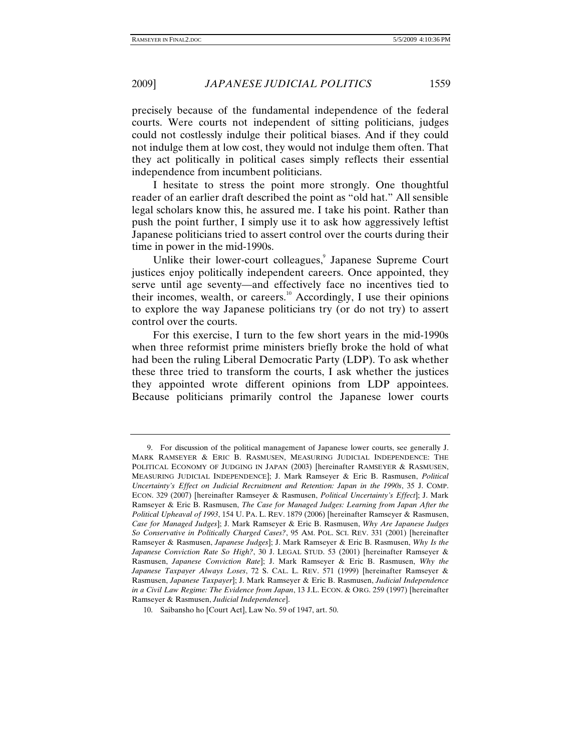precisely because of the fundamental independence of the federal courts. Were courts not independent of sitting politicians, judges could not costlessly indulge their political biases. And if they could not indulge them at low cost, they would not indulge them often. That they act politically in political cases simply reflects their essential independence from incumbent politicians.

I hesitate to stress the point more strongly. One thoughtful reader of an earlier draft described the point as "old hat." All sensible legal scholars know this, he assured me. I take his point. Rather than push the point further, I simply use it to ask how aggressively leftist Japanese politicians tried to assert control over the courts during their time in power in the mid-1990s.

Unlike their lower-court colleagues,<sup>9</sup> Japanese Supreme Court justices enjoy politically independent careers. Once appointed, they serve until age seventy—and effectively face no incentives tied to their incomes, wealth, or careers.<sup>10</sup> Accordingly, I use their opinions to explore the way Japanese politicians try (or do not try) to assert control over the courts.

For this exercise, I turn to the few short years in the mid-1990s when three reformist prime ministers briefly broke the hold of what had been the ruling Liberal Democratic Party (LDP). To ask whether these three tried to transform the courts, I ask whether the justices they appointed wrote different opinions from LDP appointees. Because politicians primarily control the Japanese lower courts

 <sup>9.</sup> For discussion of the political management of Japanese lower courts, see generally J. MARK RAMSEYER & ERIC B. RASMUSEN, MEASURING JUDICIAL INDEPENDENCE: THE POLITICAL ECONOMY OF JUDGING IN JAPAN (2003) [hereinafter RAMSEYER & RASMUSEN, MEASURING JUDICIAL INDEPENDENCE]; J. Mark Ramseyer & Eric B. Rasmusen, *Political Uncertainty's Effect on Judicial Recruitment and Retention: Japan in the 1990s*, 35 J. COMP. ECON. 329 (2007) [hereinafter Ramseyer & Rasmusen, *Political Uncertainty's Effect*]; J. Mark Ramseyer & Eric B. Rasmusen, *The Case for Managed Judges: Learning from Japan After the Political Upheaval of 1993*, 154 U. PA. L. REV. 1879 (2006) [hereinafter Ramseyer & Rasmusen, *Case for Managed Judges*]; J. Mark Ramseyer & Eric B. Rasmusen, *Why Are Japanese Judges So Conservative in Politically Charged Cases?*, 95 AM. POL. SCI. REV. 331 (2001) [hereinafter Ramseyer & Rasmusen, *Japanese Judges*]; J. Mark Ramseyer & Eric B. Rasmusen, *Why Is the Japanese Conviction Rate So High?*, 30 J. LEGAL STUD. 53 (2001) [hereinafter Ramseyer & Rasmusen, *Japanese Conviction Rate*]; J. Mark Ramseyer & Eric B. Rasmusen, *Why the Japanese Taxpayer Always Loses*, 72 S. CAL. L. REV. 571 (1999) [hereinafter Ramseyer & Rasmusen, *Japanese Taxpayer*]; J. Mark Ramseyer & Eric B. Rasmusen, *Judicial Independence in a Civil Law Regime: The Evidence from Japan*, 13 J.L. ECON. & ORG. 259 (1997) [hereinafter Ramseyer & Rasmusen, *Judicial Independence*].

 <sup>10.</sup> Saibansho ho [Court Act], Law No. 59 of 1947, art. 50.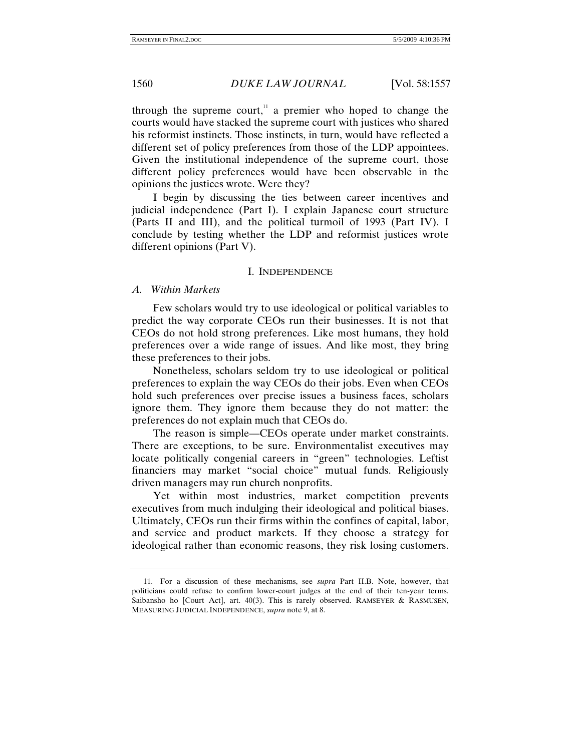through the supreme court, $\frac{11}{11}$  a premier who hoped to change the courts would have stacked the supreme court with justices who shared his reformist instincts. Those instincts, in turn, would have reflected a different set of policy preferences from those of the LDP appointees. Given the institutional independence of the supreme court, those different policy preferences would have been observable in the opinions the justices wrote. Were they?

I begin by discussing the ties between career incentives and judicial independence (Part I). I explain Japanese court structure (Parts II and III), and the political turmoil of 1993 (Part IV). I conclude by testing whether the LDP and reformist justices wrote different opinions (Part V).

#### I. INDEPENDENCE

#### *A. Within Markets*

Few scholars would try to use ideological or political variables to predict the way corporate CEOs run their businesses. It is not that CEOs do not hold strong preferences. Like most humans, they hold preferences over a wide range of issues. And like most, they bring these preferences to their jobs.

Nonetheless, scholars seldom try to use ideological or political preferences to explain the way CEOs do their jobs. Even when CEOs hold such preferences over precise issues a business faces, scholars ignore them. They ignore them because they do not matter: the preferences do not explain much that CEOs do.

The reason is simple—CEOs operate under market constraints. There are exceptions, to be sure. Environmentalist executives may locate politically congenial careers in "green" technologies. Leftist financiers may market "social choice" mutual funds. Religiously driven managers may run church nonprofits.

Yet within most industries, market competition prevents executives from much indulging their ideological and political biases. Ultimately, CEOs run their firms within the confines of capital, labor, and service and product markets. If they choose a strategy for ideological rather than economic reasons, they risk losing customers.

 <sup>11.</sup> For a discussion of these mechanisms, see *supra* Part II.B. Note, however, that politicians could refuse to confirm lower-court judges at the end of their ten-year terms. Saibansho ho [Court Act], art. 40(3). This is rarely observed. RAMSEYER & RASMUSEN, MEASURING JUDICIAL INDEPENDENCE, *supra* note 9, at 8.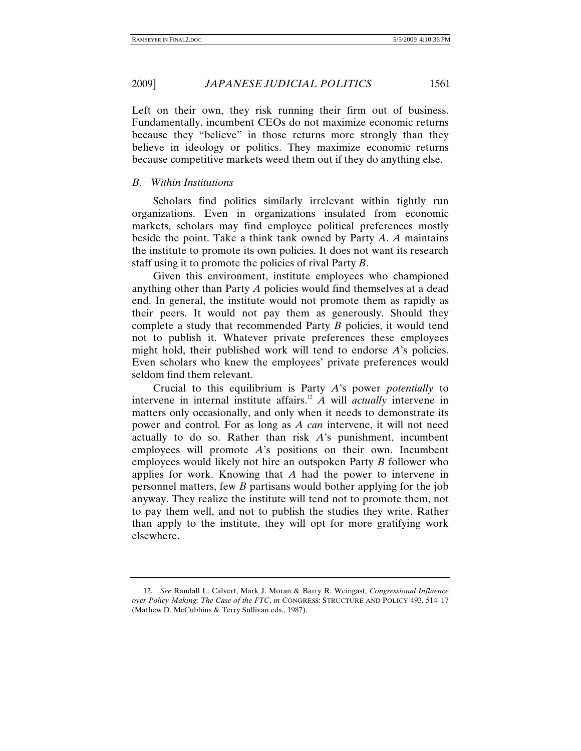Left on their own, they risk running their firm out of business. Fundamentally, incumbent CEOs do not maximize economic returns because they "believe" in those returns more strongly than they believe in ideology or politics. They maximize economic returns because competitive markets weed them out if they do anything else.

### *B. Within Institutions*

Scholars find politics similarly irrelevant within tightly run organizations. Even in organizations insulated from economic markets, scholars may find employee political preferences mostly beside the point. Take a think tank owned by Party *A*. *A* maintains the institute to promote its own policies. It does not want its research staff using it to promote the policies of rival Party *B*.

Given this environment, institute employees who championed anything other than Party *A* policies would find themselves at a dead end. In general, the institute would not promote them as rapidly as their peers. It would not pay them as generously. Should they complete a study that recommended Party *B* policies, it would tend not to publish it. Whatever private preferences these employees might hold, their published work will tend to endorse *A*'s policies. Even scholars who knew the employees' private preferences would seldom find them relevant.

Crucial to this equilibrium is Party *A*'s power *potentially* to intervene in internal institute affairs.<sup>12</sup>  $\hat{A}$  will *actually* intervene in matters only occasionally, and only when it needs to demonstrate its power and control. For as long as *A can* intervene, it will not need actually to do so. Rather than risk *A*'s punishment, incumbent employees will promote *A*'s positions on their own. Incumbent employees would likely not hire an outspoken Party *B* follower who applies for work. Knowing that *A* had the power to intervene in personnel matters, few *B* partisans would bother applying for the job anyway. They realize the institute will tend not to promote them, not to pay them well, and not to publish the studies they write. Rather than apply to the institute, they will opt for more gratifying work elsewhere.

<sup>12</sup>*. See* Randall L. Calvert, Mark J. Moran & Barry R. Weingast, *Congressional Influence over Policy Making: The Case of the FTC*, *in* CONGRESS: STRUCTURE AND POLICY 493, 514–17 (Mathew D. McCubbins & Terry Sullivan eds., 1987).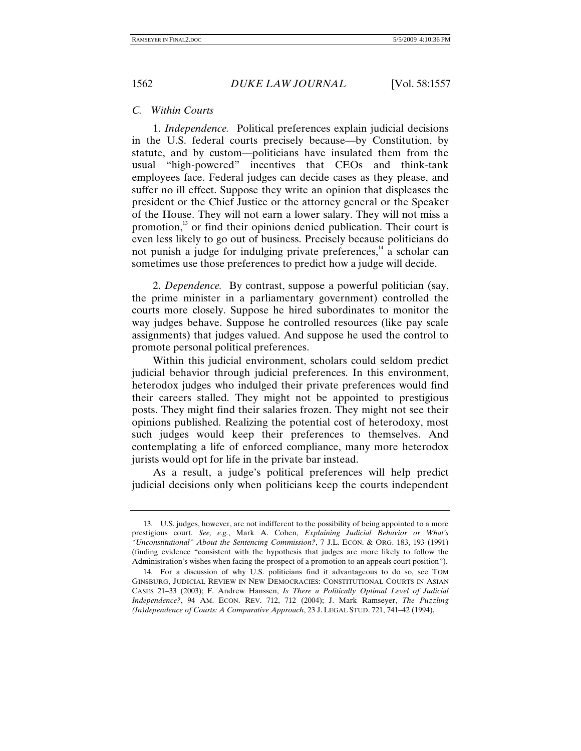### *C. Within Courts*

1. *Independence.* Political preferences explain judicial decisions in the U.S. federal courts precisely because—by Constitution, by statute, and by custom—politicians have insulated them from the usual "high-powered" incentives that CEOs and think-tank employees face. Federal judges can decide cases as they please, and suffer no ill effect. Suppose they write an opinion that displeases the president or the Chief Justice or the attorney general or the Speaker of the House. They will not earn a lower salary. They will not miss a promotion,<sup>13</sup> or find their opinions denied publication. Their court is even less likely to go out of business. Precisely because politicians do not punish a judge for indulging private preferences, $14$  a scholar can sometimes use those preferences to predict how a judge will decide.

2. *Dependence.* By contrast, suppose a powerful politician (say, the prime minister in a parliamentary government) controlled the courts more closely. Suppose he hired subordinates to monitor the way judges behave. Suppose he controlled resources (like pay scale assignments) that judges valued. And suppose he used the control to promote personal political preferences.

Within this judicial environment, scholars could seldom predict judicial behavior through judicial preferences. In this environment, heterodox judges who indulged their private preferences would find their careers stalled. They might not be appointed to prestigious posts. They might find their salaries frozen. They might not see their opinions published. Realizing the potential cost of heterodoxy, most such judges would keep their preferences to themselves. And contemplating a life of enforced compliance, many more heterodox jurists would opt for life in the private bar instead.

As a result, a judge's political preferences will help predict judicial decisions only when politicians keep the courts independent

 <sup>13.</sup> U.S. judges, however, are not indifferent to the possibility of being appointed to a more prestigious court. *See, e.g.*, Mark A. Cohen, *Explaining Judicial Behavior or What's "Unconstitutional" About the Sentencing Commission?*, 7 J.L. ECON. & ORG. 183, 193 (1991) (finding evidence "consistent with the hypothesis that judges are more likely to follow the Administration's wishes when facing the prospect of a promotion to an appeals court position").

 <sup>14.</sup> For a discussion of why U.S. politicians find it advantageous to do so, see TOM GINSBURG, JUDICIAL REVIEW IN NEW DEMOCRACIES: CONSTITUTIONAL COURTS IN ASIAN CASES 21–33 (2003); F. Andrew Hanssen, *Is There a Politically Optimal Level of Judicial Independence?*, 94 AM. ECON. REV. 712, 712 (2004); J. Mark Ramseyer, *The Puzzling (In)dependence of Courts: A Comparative Approach*, 23 J. LEGAL STUD. 721, 741–42 (1994).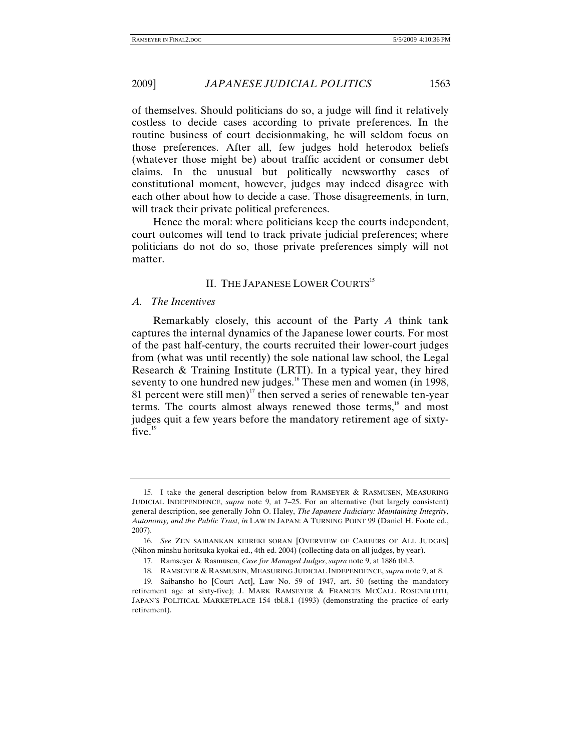of themselves. Should politicians do so, a judge will find it relatively costless to decide cases according to private preferences. In the routine business of court decisionmaking, he will seldom focus on those preferences. After all, few judges hold heterodox beliefs (whatever those might be) about traffic accident or consumer debt claims. In the unusual but politically newsworthy cases of constitutional moment, however, judges may indeed disagree with each other about how to decide a case. Those disagreements, in turn, will track their private political preferences.

Hence the moral: where politicians keep the courts independent, court outcomes will tend to track private judicial preferences; where politicians do not do so, those private preferences simply will not matter.

### II. THE JAPANESE LOWER COURTS<sup>15</sup>

#### *A. The Incentives*

Remarkably closely, this account of the Party *A* think tank captures the internal dynamics of the Japanese lower courts. For most of the past half-century, the courts recruited their lower-court judges from (what was until recently) the sole national law school, the Legal Research & Training Institute (LRTI). In a typical year, they hired seventy to one hundred new judges.<sup>16</sup> These men and women (in 1998, 81 percent were still men)<sup>17</sup> then served a series of renewable ten-year terms. The courts almost always renewed those terms,<sup>18</sup> and most judges quit a few years before the mandatory retirement age of sixtyfive. $19$ 

 <sup>15.</sup> I take the general description below from RAMSEYER & RASMUSEN, MEASURING JUDICIAL INDEPENDENCE, *supra* note 9, at 7–25. For an alternative (but largely consistent) general description, see generally John O. Haley, *The Japanese Judiciary: Maintaining Integrity, Autonomy, and the Public Trust*, *in* LAW IN JAPAN: A TURNING POINT 99 (Daniel H. Foote ed., 2007).

<sup>16</sup>*. See* ZEN SAIBANKAN KEIREKI SORAN [OVERVIEW OF CAREERS OF ALL JUDGES] (Nihon minshu horitsuka kyokai ed., 4th ed. 2004) (collecting data on all judges, by year).

 <sup>17.</sup> Ramseyer & Rasmusen, *Case for Managed Judges*, *supra* note 9, at 1886 tbl.3.

 <sup>18.</sup> RAMSEYER & RASMUSEN, MEASURING JUDICIAL INDEPENDENCE, *supra* note 9, at 8.

 <sup>19.</sup> Saibansho ho [Court Act], Law No. 59 of 1947, art. 50 (setting the mandatory retirement age at sixty-five); J. MARK RAMSEYER & FRANCES MCCALL ROSENBLUTH, JAPAN'S POLITICAL MARKETPLACE 154 tbl.8.1 (1993) (demonstrating the practice of early retirement).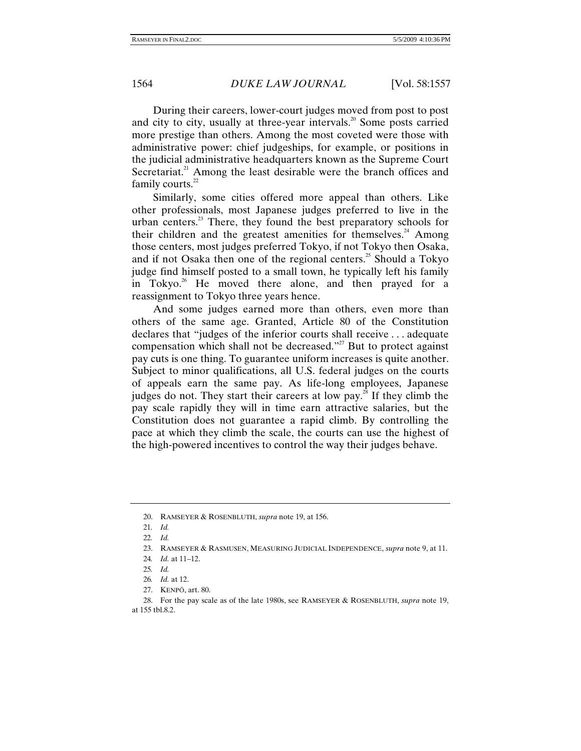During their careers, lower-court judges moved from post to post and city to city, usually at three-year intervals.<sup>20</sup> Some posts carried more prestige than others. Among the most coveted were those with administrative power: chief judgeships, for example, or positions in the judicial administrative headquarters known as the Supreme Court Secretariat.<sup>21</sup> Among the least desirable were the branch offices and family courts. $22$ 

Similarly, some cities offered more appeal than others. Like other professionals, most Japanese judges preferred to live in the urban centers.<sup>23</sup> There, they found the best preparatory schools for their children and the greatest amenities for themselves.<sup>24</sup> Among those centers, most judges preferred Tokyo, if not Tokyo then Osaka, and if not Osaka then one of the regional centers.<sup>25</sup> Should a Tokyo judge find himself posted to a small town, he typically left his family in Tokyo.<sup>26</sup> He moved there alone, and then prayed for a reassignment to Tokyo three years hence.

And some judges earned more than others, even more than others of the same age. Granted, Article 80 of the Constitution declares that "judges of the inferior courts shall receive . . . adequate compensation which shall not be decreased."<sup>27</sup> But to protect against pay cuts is one thing. To guarantee uniform increases is quite another. Subject to minor qualifications, all U.S. federal judges on the courts of appeals earn the same pay. As life-long employees, Japanese judges do not. They start their careers at low pay.<sup>28</sup> If they climb the pay scale rapidly they will in time earn attractive salaries, but the Constitution does not guarantee a rapid climb. By controlling the pace at which they climb the scale, the courts can use the highest of the high-powered incentives to control the way their judges behave.

- 26*. Id.* at 12.
- 27. KENPÕ, art. 80.

 <sup>20.</sup> RAMSEYER & ROSENBLUTH, *supra* note 19, at 156.

<sup>21</sup>*. Id.*

<sup>22</sup>*. Id.*

 <sup>23.</sup> RAMSEYER & RASMUSEN, MEASURING JUDICIAL INDEPENDENCE, *supra* note 9, at 11.

<sup>24</sup>*. Id.* at 11–12.

<sup>25</sup>*. Id.*

 <sup>28.</sup> For the pay scale as of the late 1980s, see RAMSEYER & ROSENBLUTH, *supra* note 19, at 155 tbl.8.2.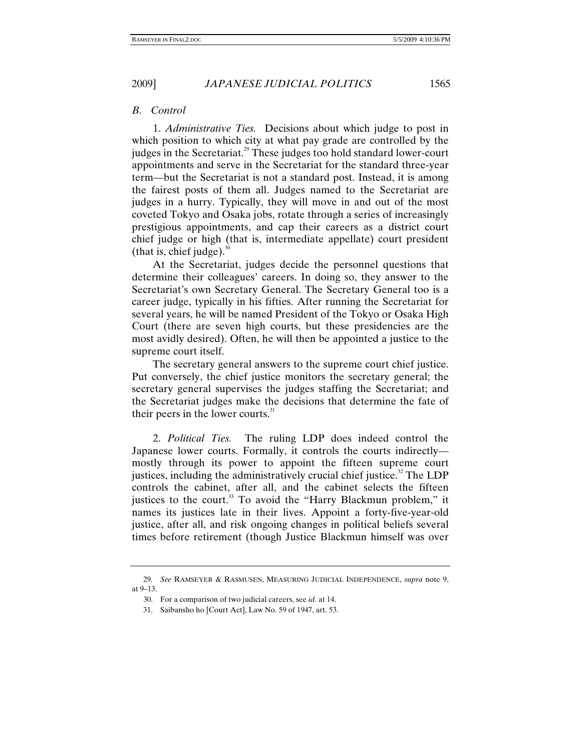### *B. Control*

1. *Administrative Ties.* Decisions about which judge to post in which position to which city at what pay grade are controlled by the judges in the Secretariat.<sup>29</sup> These judges too hold standard lower-court appointments and serve in the Secretariat for the standard three-year term—but the Secretariat is not a standard post. Instead, it is among the fairest posts of them all. Judges named to the Secretariat are judges in a hurry. Typically, they will move in and out of the most coveted Tokyo and Osaka jobs, rotate through a series of increasingly prestigious appointments, and cap their careers as a district court chief judge or high (that is, intermediate appellate) court president (that is, chief judge). $30$ 

At the Secretariat, judges decide the personnel questions that determine their colleagues' careers. In doing so, they answer to the Secretariat's own Secretary General. The Secretary General too is a career judge, typically in his fifties. After running the Secretariat for several years, he will be named President of the Tokyo or Osaka High Court (there are seven high courts, but these presidencies are the most avidly desired). Often, he will then be appointed a justice to the supreme court itself.

The secretary general answers to the supreme court chief justice. Put conversely, the chief justice monitors the secretary general; the secretary general supervises the judges staffing the Secretariat; and the Secretariat judges make the decisions that determine the fate of their peers in the lower courts. $31$ 

2. *Political Ties.* The ruling LDP does indeed control the Japanese lower courts. Formally, it controls the courts indirectly mostly through its power to appoint the fifteen supreme court justices, including the administratively crucial chief justice. $32$  The LDP controls the cabinet, after all, and the cabinet selects the fifteen justices to the court.<sup>33</sup> To avoid the "Harry Blackmun problem," it names its justices late in their lives. Appoint a forty-five-year-old justice, after all, and risk ongoing changes in political beliefs several times before retirement (though Justice Blackmun himself was over

<sup>29</sup>*. See* RAMSEYER & RASMUSEN, MEASURING JUDICIAL INDEPENDENCE, *supra* note 9, at 9–13.

 <sup>30.</sup> For a comparison of two judicial careers, see *id.* at 14.

 <sup>31.</sup> Saibansho ho [Court Act], Law No. 59 of 1947, art. 53.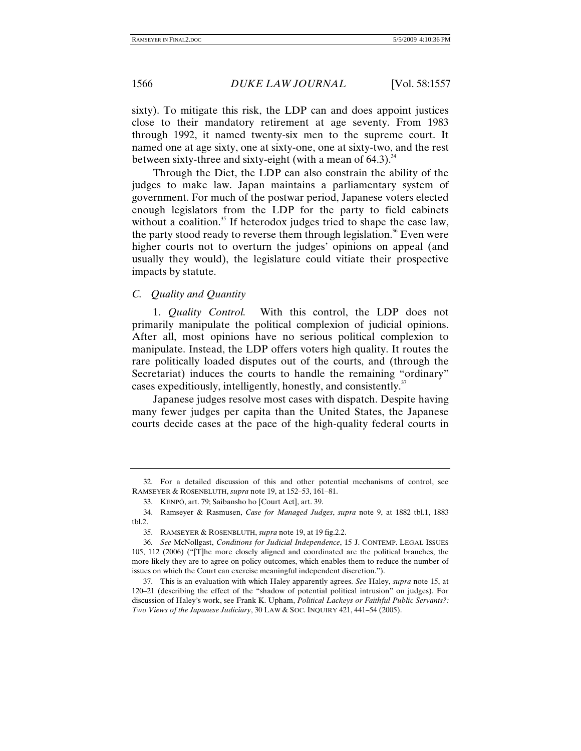sixty). To mitigate this risk, the LDP can and does appoint justices close to their mandatory retirement at age seventy. From 1983 through 1992, it named twenty-six men to the supreme court. It named one at age sixty, one at sixty-one, one at sixty-two, and the rest between sixty-three and sixty-eight (with a mean of  $64.3$ ).<sup>34</sup>

Through the Diet, the LDP can also constrain the ability of the judges to make law. Japan maintains a parliamentary system of government. For much of the postwar period, Japanese voters elected enough legislators from the LDP for the party to field cabinets without a coalition.<sup>35</sup> If heterodox judges tried to shape the case law, the party stood ready to reverse them through legislation.<sup>36</sup> Even were higher courts not to overturn the judges' opinions on appeal (and usually they would), the legislature could vitiate their prospective impacts by statute.

*C. Quality and Quantity* 

1. *Quality Control.* With this control, the LDP does not primarily manipulate the political complexion of judicial opinions. After all, most opinions have no serious political complexion to manipulate. Instead, the LDP offers voters high quality. It routes the rare politically loaded disputes out of the courts, and (through the Secretariat) induces the courts to handle the remaining "ordinary" cases expeditiously, intelligently, honestly, and consistently.<sup>37</sup>

Japanese judges resolve most cases with dispatch. Despite having many fewer judges per capita than the United States, the Japanese courts decide cases at the pace of the high-quality federal courts in

 <sup>32.</sup> For a detailed discussion of this and other potential mechanisms of control, see RAMSEYER & ROSENBLUTH, *supra* note 19, at 152–53, 161–81.

 <sup>33.</sup> KENPÕ, art. 79; Saibansho ho [Court Act], art. 39.

 <sup>34.</sup> Ramseyer & Rasmusen, *Case for Managed Judges*, *supra* note 9, at 1882 tbl.1, 1883 tbl.2.

 <sup>35.</sup> RAMSEYER & ROSENBLUTH, *supra* note 19, at 19 fig.2.2.

<sup>36</sup>*. See* McNollgast, *Conditions for Judicial Independence*, 15 J. CONTEMP. LEGAL ISSUES 105, 112 (2006) ("[T]he more closely aligned and coordinated are the political branches, the more likely they are to agree on policy outcomes, which enables them to reduce the number of issues on which the Court can exercise meaningful independent discretion.").

 <sup>37.</sup> This is an evaluation with which Haley apparently agrees. *See* Haley, *supra* note 15, at 120–21 (describing the effect of the "shadow of potential political intrusion" on judges). For discussion of Haley's work, see Frank K. Upham, *Political Lackeys or Faithful Public Servants?: Two Views of the Japanese Judiciary*, 30 LAW & SOC. INQUIRY 421, 441–54 (2005).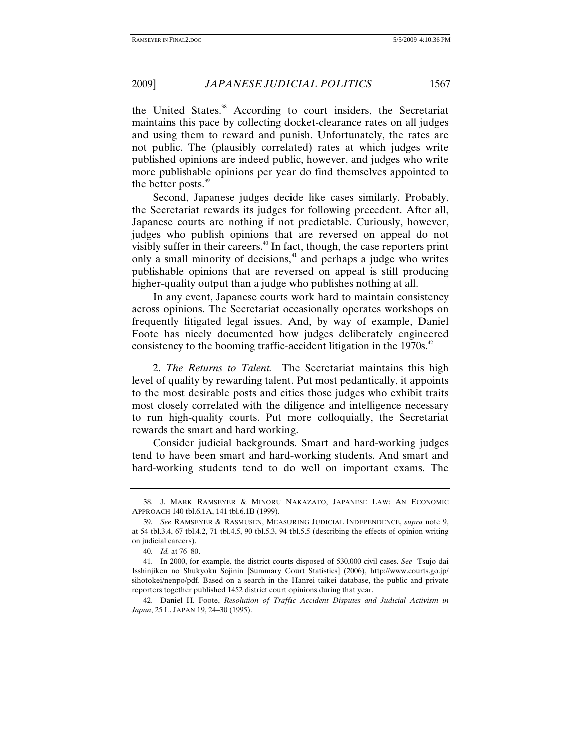the United States.<sup>38</sup> According to court insiders, the Secretariat maintains this pace by collecting docket-clearance rates on all judges and using them to reward and punish. Unfortunately, the rates are not public. The (plausibly correlated) rates at which judges write published opinions are indeed public, however, and judges who write more publishable opinions per year do find themselves appointed to the better posts.<sup>39</sup>

Second, Japanese judges decide like cases similarly. Probably, the Secretariat rewards its judges for following precedent. After all, Japanese courts are nothing if not predictable. Curiously, however, judges who publish opinions that are reversed on appeal do not visibly suffer in their careers.<sup>40</sup> In fact, though, the case reporters print only a small minority of decisions, $41$  and perhaps a judge who writes publishable opinions that are reversed on appeal is still producing higher-quality output than a judge who publishes nothing at all.

In any event, Japanese courts work hard to maintain consistency across opinions. The Secretariat occasionally operates workshops on frequently litigated legal issues. And, by way of example, Daniel Foote has nicely documented how judges deliberately engineered consistency to the booming traffic-accident litigation in the  $1970s<sup>42</sup>$ 

2. *The Returns to Talent.* The Secretariat maintains this high level of quality by rewarding talent. Put most pedantically, it appoints to the most desirable posts and cities those judges who exhibit traits most closely correlated with the diligence and intelligence necessary to run high-quality courts. Put more colloquially, the Secretariat rewards the smart and hard working.

Consider judicial backgrounds. Smart and hard-working judges tend to have been smart and hard-working students. And smart and hard-working students tend to do well on important exams. The

 <sup>38.</sup> J. MARK RAMSEYER & MINORU NAKAZATO, JAPANESE LAW: AN ECONOMIC APPROACH 140 tbl.6.1A, 141 tbl.6.1B (1999).

<sup>39</sup>*. See* RAMSEYER & RASMUSEN, MEASURING JUDICIAL INDEPENDENCE, *supra* note 9, at 54 tbl.3.4, 67 tbl.4.2, 71 tbl.4.5, 90 tbl.5.3, 94 tbl.5.5 (describing the effects of opinion writing on judicial careers).

<sup>40</sup>*. Id.* at 76–80.

 <sup>41.</sup> In 2000, for example, the district courts disposed of 530,000 civil cases. *See* Tsujo dai Isshinjiken no Shukyoku Sojinin [Summary Court Statistics] (2006), http://www.courts.go.jp/ sihotokei/nenpo/pdf. Based on a search in the Hanrei taikei database, the public and private reporters together published 1452 district court opinions during that year.

 <sup>42.</sup> Daniel H. Foote, *Resolution of Traffic Accident Disputes and Judicial Activism in Japan*, 25 L. JAPAN 19, 24–30 (1995).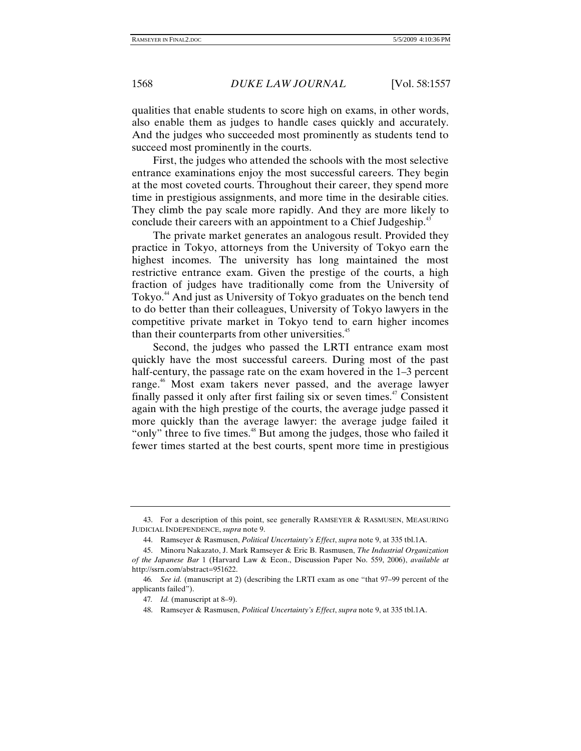qualities that enable students to score high on exams, in other words, also enable them as judges to handle cases quickly and accurately. And the judges who succeeded most prominently as students tend to succeed most prominently in the courts.

First, the judges who attended the schools with the most selective entrance examinations enjoy the most successful careers. They begin at the most coveted courts. Throughout their career, they spend more time in prestigious assignments, and more time in the desirable cities. They climb the pay scale more rapidly. And they are more likely to conclude their careers with an appointment to a Chief Judgeship.<sup>43</sup>

The private market generates an analogous result. Provided they practice in Tokyo, attorneys from the University of Tokyo earn the highest incomes. The university has long maintained the most restrictive entrance exam. Given the prestige of the courts, a high fraction of judges have traditionally come from the University of Tokyo.<sup>44</sup> And just as University of Tokyo graduates on the bench tend to do better than their colleagues, University of Tokyo lawyers in the competitive private market in Tokyo tend to earn higher incomes than their counterparts from other universities.<sup>45</sup>

Second, the judges who passed the LRTI entrance exam most quickly have the most successful careers. During most of the past half-century, the passage rate on the exam hovered in the 1–3 percent range.<sup>46</sup> Most exam takers never passed, and the average lawyer finally passed it only after first failing six or seven times. $47$  Consistent again with the high prestige of the courts, the average judge passed it more quickly than the average lawyer: the average judge failed it "only" three to five times.<sup>48</sup> But among the judges, those who failed it fewer times started at the best courts, spent more time in prestigious

 <sup>43.</sup> For a description of this point, see generally RAMSEYER & RASMUSEN, MEASURING JUDICIAL INDEPENDENCE, *supra* note 9.

 <sup>44.</sup> Ramseyer & Rasmusen, *Political Uncertainty's Effect*, *supra* note 9, at 335 tbl.1A.

 <sup>45.</sup> Minoru Nakazato, J. Mark Ramseyer & Eric B. Rasmusen, *The Industrial Organization of the Japanese Bar* 1 (Harvard Law & Econ., Discussion Paper No. 559, 2006), *available at* http://ssrn.com/abstract=951622.

<sup>46</sup>*. See id.* (manuscript at 2) (describing the LRTI exam as one "that 97–99 percent of the applicants failed").

<sup>47</sup>*. Id.* (manuscript at 8–9).

 <sup>48.</sup> Ramseyer & Rasmusen, *Political Uncertainty's Effect*, *supra* note 9, at 335 tbl.1A.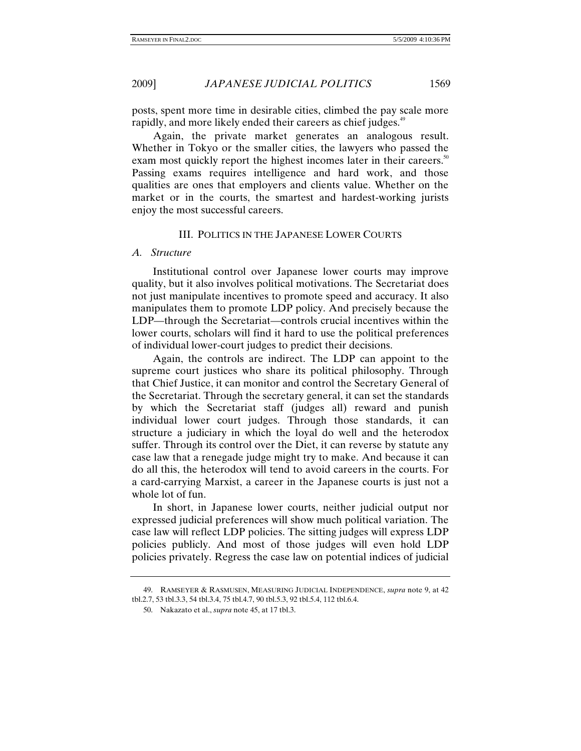posts, spent more time in desirable cities, climbed the pay scale more rapidly, and more likely ended their careers as chief judges.<sup>49</sup>

Again, the private market generates an analogous result. Whether in Tokyo or the smaller cities, the lawyers who passed the exam most quickly report the highest incomes later in their careers.<sup>50</sup> Passing exams requires intelligence and hard work, and those qualities are ones that employers and clients value. Whether on the market or in the courts, the smartest and hardest-working jurists enjoy the most successful careers.

#### III. POLITICS IN THE JAPANESE LOWER COURTS

#### *A. Structure*

Institutional control over Japanese lower courts may improve quality, but it also involves political motivations. The Secretariat does not just manipulate incentives to promote speed and accuracy. It also manipulates them to promote LDP policy. And precisely because the LDP—through the Secretariat—controls crucial incentives within the lower courts, scholars will find it hard to use the political preferences of individual lower-court judges to predict their decisions.

Again, the controls are indirect. The LDP can appoint to the supreme court justices who share its political philosophy. Through that Chief Justice, it can monitor and control the Secretary General of the Secretariat. Through the secretary general, it can set the standards by which the Secretariat staff (judges all) reward and punish individual lower court judges. Through those standards, it can structure a judiciary in which the loyal do well and the heterodox suffer. Through its control over the Diet, it can reverse by statute any case law that a renegade judge might try to make. And because it can do all this, the heterodox will tend to avoid careers in the courts. For a card-carrying Marxist, a career in the Japanese courts is just not a whole lot of fun.

In short, in Japanese lower courts, neither judicial output nor expressed judicial preferences will show much political variation. The case law will reflect LDP policies. The sitting judges will express LDP policies publicly. And most of those judges will even hold LDP policies privately. Regress the case law on potential indices of judicial

 <sup>49.</sup> RAMSEYER & RASMUSEN, MEASURING JUDICIAL INDEPENDENCE, *supra* note 9, at 42 tbl.2.7, 53 tbl.3.3, 54 tbl.3.4, 75 tbl.4.7, 90 tbl.5.3, 92 tbl.5.4, 112 tbl.6.4.

 <sup>50.</sup> Nakazato et al., *supra* note 45, at 17 tbl.3.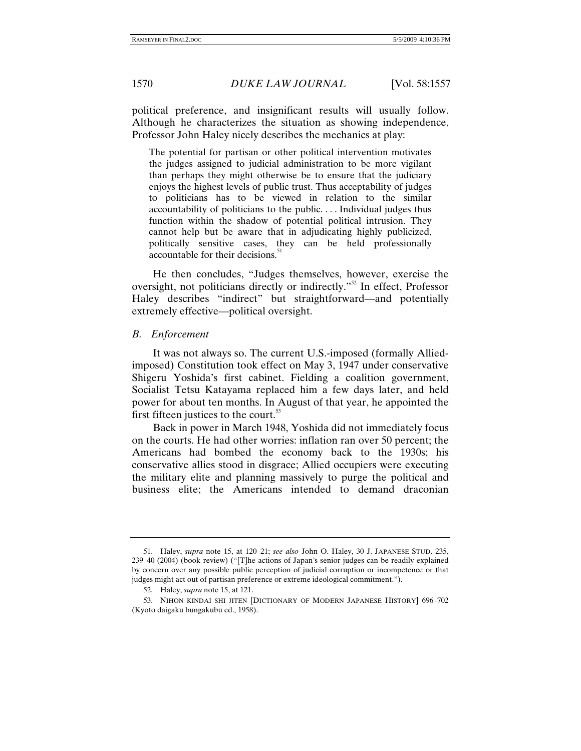political preference, and insignificant results will usually follow. Although he characterizes the situation as showing independence, Professor John Haley nicely describes the mechanics at play:

The potential for partisan or other political intervention motivates the judges assigned to judicial administration to be more vigilant than perhaps they might otherwise be to ensure that the judiciary enjoys the highest levels of public trust. Thus acceptability of judges to politicians has to be viewed in relation to the similar accountability of politicians to the public. . . . Individual judges thus function within the shadow of potential political intrusion. They cannot help but be aware that in adjudicating highly publicized, politically sensitive cases, they can be held professionally accountable for their decisions.<sup>51</sup>

He then concludes, "Judges themselves, however, exercise the oversight, not politicians directly or indirectly."<sup>52</sup> In effect, Professor Haley describes "indirect" but straightforward—and potentially extremely effective—political oversight.

#### *B. Enforcement*

It was not always so. The current U.S.-imposed (formally Alliedimposed) Constitution took effect on May 3, 1947 under conservative Shigeru Yoshida's first cabinet. Fielding a coalition government, Socialist Tetsu Katayama replaced him a few days later, and held power for about ten months. In August of that year, he appointed the first fifteen justices to the court. $\frac{53}{2}$ 

Back in power in March 1948, Yoshida did not immediately focus on the courts. He had other worries: inflation ran over 50 percent; the Americans had bombed the economy back to the 1930s; his conservative allies stood in disgrace; Allied occupiers were executing the military elite and planning massively to purge the political and business elite; the Americans intended to demand draconian

 <sup>51.</sup> Haley, *supra* note 15, at 120–21; *see also* John O. Haley, 30 J. JAPANESE STUD. 235, 239–40 (2004) (book review) ("[T]he actions of Japan's senior judges can be readily explained by concern over any possible public perception of judicial corruption or incompetence or that judges might act out of partisan preference or extreme ideological commitment.").

 <sup>52.</sup> Haley, *supra* note 15, at 121.

 <sup>53.</sup> NIHON KINDAI SHI JITEN [DICTIONARY OF MODERN JAPANESE HISTORY] 696–702 (Kyoto daigaku bungakubu ed., 1958).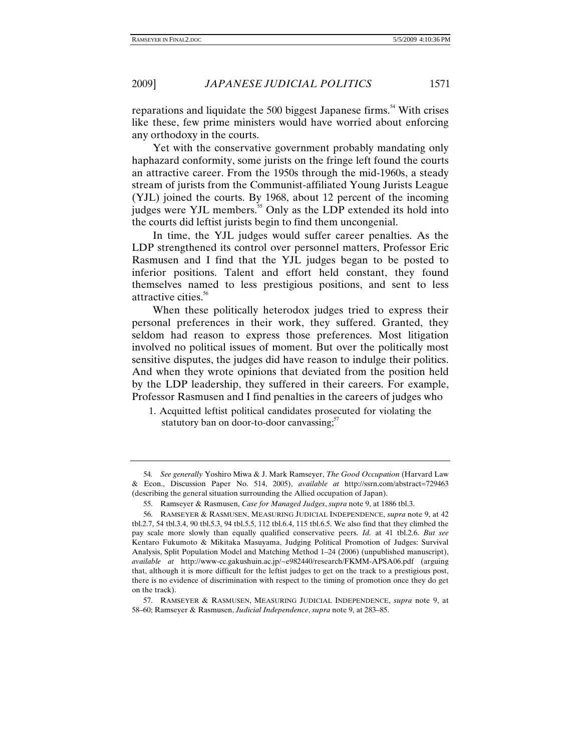reparations and liquidate the 500 biggest Japanese firms.<sup>54</sup> With crises like these, few prime ministers would have worried about enforcing any orthodoxy in the courts.

Yet with the conservative government probably mandating only haphazard conformity, some jurists on the fringe left found the courts an attractive career. From the 1950s through the mid-1960s, a steady stream of jurists from the Communist-affiliated Young Jurists League (YJL) joined the courts. By 1968, about 12 percent of the incoming judges were YJL members.<sup>55</sup> Only as the LDP extended its hold into the courts did leftist jurists begin to find them uncongenial.

In time, the YJL judges would suffer career penalties. As the LDP strengthened its control over personnel matters, Professor Eric Rasmusen and I find that the YJL judges began to be posted to inferior positions. Talent and effort held constant, they found themselves named to less prestigious positions, and sent to less attractive cities.<sup>56</sup>

When these politically heterodox judges tried to express their personal preferences in their work, they suffered. Granted, they seldom had reason to express those preferences. Most litigation involved no political issues of moment. But over the politically most sensitive disputes, the judges did have reason to indulge their politics. And when they wrote opinions that deviated from the position held by the LDP leadership, they suffered in their careers. For example, Professor Rasmusen and I find penalties in the careers of judges who

<sup>1.</sup> Acquitted leftist political candidates prosecuted for violating the statutory ban on door-to-door canvassing; $57$ 

<sup>54</sup>*. See generally* Yoshiro Miwa & J. Mark Ramseyer, *The Good Occupation* (Harvard Law & Econ., Discussion Paper No. 514, 2005), *available at* http://ssrn.com/abstract=729463 (describing the general situation surrounding the Allied occupation of Japan).

 <sup>55.</sup> Ramseyer & Rasmusen, *Case for Managed Judges*, *supra* note 9, at 1886 tbl.3.

 <sup>56.</sup> RAMSEYER & RASMUSEN, MEASURING JUDICIAL INDEPENDENCE, *supra* note 9, at 42 tbl.2.7, 54 tbl.3.4, 90 tbl.5.3, 94 tbl.5.5, 112 tbl.6.4, 115 tbl.6.5. We also find that they climbed the pay scale more slowly than equally qualified conservative peers. *Id.* at 41 tbl.2.6. *But see* Kentaro Fukumoto & Mikitaka Masuyama, Judging Political Promotion of Judges: Survival Analysis, Split Population Model and Matching Method 1–24 (2006) (unpublished manuscript), *available at* http://www-cc.gakushuin.ac.jp/~e982440/research/FKMM-APSA06.pdf (arguing that, although it is more difficult for the leftist judges to get on the track to a prestigious post, there is no evidence of discrimination with respect to the timing of promotion once they do get on the track).

 <sup>57.</sup> RAMSEYER & RASMUSEN, MEASURING JUDICIAL INDEPENDENCE, *supra* note 9, at 58–60; Ramseyer & Rasmusen, *Judicial Independence*, *supra* note 9, at 283–85.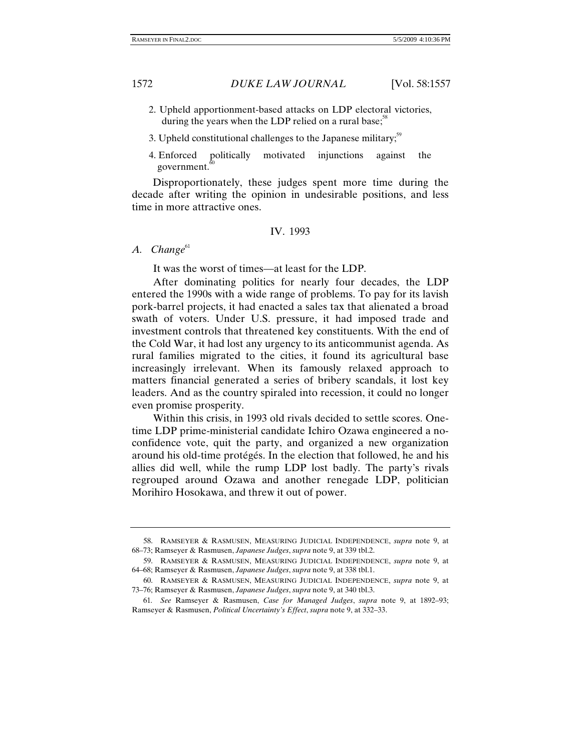- 2. Upheld apportionment-based attacks on LDP electoral victories, during the years when the LDP relied on a rural base; $\frac{5}{5}$
- 3. Upheld constitutional challenges to the Japanese military;<sup>59</sup>
- 4. Enforced politically motivated injunctions against the government. $\alpha$

Disproportionately, these judges spent more time during the decade after writing the opinion in undesirable positions, and less time in more attractive ones.

### IV. 1993

A. Change<sup>61</sup>

It was the worst of times—at least for the LDP.

After dominating politics for nearly four decades, the LDP entered the 1990s with a wide range of problems. To pay for its lavish pork-barrel projects, it had enacted a sales tax that alienated a broad swath of voters. Under U.S. pressure, it had imposed trade and investment controls that threatened key constituents. With the end of the Cold War, it had lost any urgency to its anticommunist agenda. As rural families migrated to the cities, it found its agricultural base increasingly irrelevant. When its famously relaxed approach to matters financial generated a series of bribery scandals, it lost key leaders. And as the country spiraled into recession, it could no longer even promise prosperity.

Within this crisis, in 1993 old rivals decided to settle scores. Onetime LDP prime-ministerial candidate Ichiro Ozawa engineered a noconfidence vote, quit the party, and organized a new organization around his old-time protégés. In the election that followed, he and his allies did well, while the rump LDP lost badly. The party's rivals regrouped around Ozawa and another renegade LDP, politician Morihiro Hosokawa, and threw it out of power.

 <sup>58.</sup> RAMSEYER & RASMUSEN, MEASURING JUDICIAL INDEPENDENCE, *supra* note 9, at 68–73; Ramseyer & Rasmusen, *Japanese Judges*, *supra* note 9, at 339 tbl.2.

 <sup>59.</sup> RAMSEYER & RASMUSEN, MEASURING JUDICIAL INDEPENDENCE, *supra* note 9, at 64–68; Ramseyer & Rasmusen, *Japanese Judges*, *supra* note 9, at 338 tbl.1.

 <sup>60.</sup> RAMSEYER & RASMUSEN, MEASURING JUDICIAL INDEPENDENCE, *supra* note 9, at 73–76; Ramseyer & Rasmusen, *Japanese Judges*, *supra* note 9, at 340 tbl.3.

<sup>61</sup>*. See* Ramseyer & Rasmusen, *Case for Managed Judges*, *supra* note 9, at 1892–93; Ramseyer & Rasmusen, *Political Uncertainty's Effect*, *supra* note 9, at 332–33.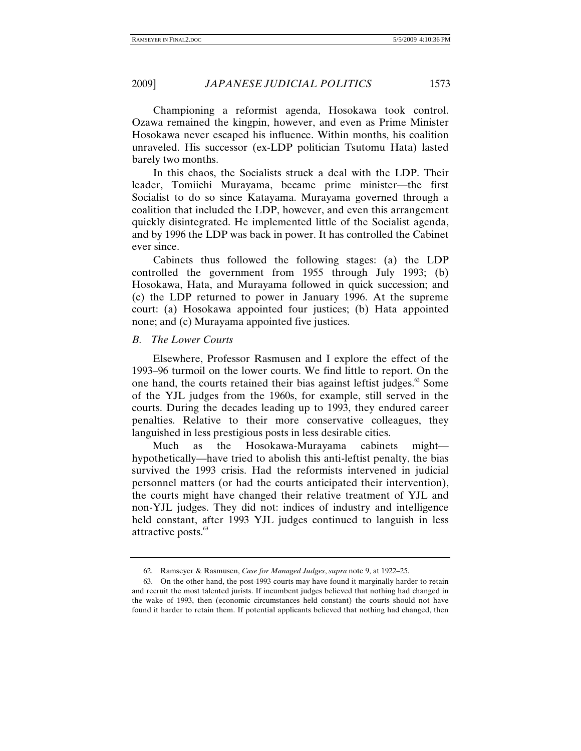Championing a reformist agenda, Hosokawa took control. Ozawa remained the kingpin, however, and even as Prime Minister Hosokawa never escaped his influence. Within months, his coalition unraveled. His successor (ex-LDP politician Tsutomu Hata) lasted barely two months.

In this chaos, the Socialists struck a deal with the LDP. Their leader, Tomiichi Murayama, became prime minister—the first Socialist to do so since Katayama. Murayama governed through a coalition that included the LDP, however, and even this arrangement quickly disintegrated. He implemented little of the Socialist agenda, and by 1996 the LDP was back in power. It has controlled the Cabinet ever since.

Cabinets thus followed the following stages: (a) the LDP controlled the government from 1955 through July 1993; (b) Hosokawa, Hata, and Murayama followed in quick succession; and (c) the LDP returned to power in January 1996. At the supreme court: (a) Hosokawa appointed four justices; (b) Hata appointed none; and (c) Murayama appointed five justices.

### *B. The Lower Courts*

Elsewhere, Professor Rasmusen and I explore the effect of the 1993–96 turmoil on the lower courts. We find little to report. On the one hand, the courts retained their bias against leftist judges. $\degree$  Some of the YJL judges from the 1960s, for example, still served in the courts. During the decades leading up to 1993, they endured career penalties. Relative to their more conservative colleagues, they languished in less prestigious posts in less desirable cities.

Much as the Hosokawa-Murayama cabinets might hypothetically—have tried to abolish this anti-leftist penalty, the bias survived the 1993 crisis. Had the reformists intervened in judicial personnel matters (or had the courts anticipated their intervention), the courts might have changed their relative treatment of YJL and non-YJL judges. They did not: indices of industry and intelligence held constant, after 1993 YJL judges continued to languish in less attractive posts.<sup>63</sup>

 <sup>62.</sup> Ramseyer & Rasmusen, *Case for Managed Judges*, *supra* note 9, at 1922–25.

 <sup>63.</sup> On the other hand, the post-1993 courts may have found it marginally harder to retain and recruit the most talented jurists. If incumbent judges believed that nothing had changed in the wake of 1993, then (economic circumstances held constant) the courts should not have found it harder to retain them. If potential applicants believed that nothing had changed, then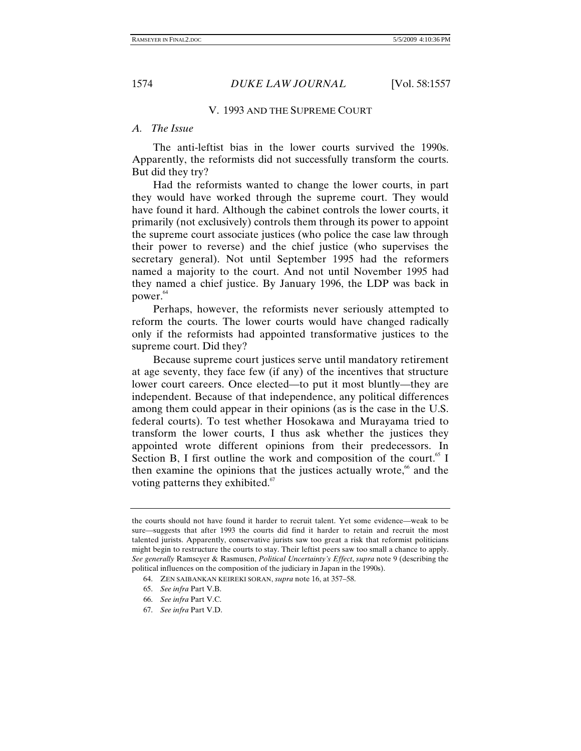#### V. 1993 AND THE SUPREME COURT

#### *A. The Issue*

The anti-leftist bias in the lower courts survived the 1990s. Apparently, the reformists did not successfully transform the courts. But did they try?

Had the reformists wanted to change the lower courts, in part they would have worked through the supreme court. They would have found it hard. Although the cabinet controls the lower courts, it primarily (not exclusively) controls them through its power to appoint the supreme court associate justices (who police the case law through their power to reverse) and the chief justice (who supervises the secretary general). Not until September 1995 had the reformers named a majority to the court. And not until November 1995 had they named a chief justice. By January 1996, the LDP was back in power.<sup>64</sup>

Perhaps, however, the reformists never seriously attempted to reform the courts. The lower courts would have changed radically only if the reformists had appointed transformative justices to the supreme court. Did they?

Because supreme court justices serve until mandatory retirement at age seventy, they face few (if any) of the incentives that structure lower court careers. Once elected—to put it most bluntly—they are independent. Because of that independence, any political differences among them could appear in their opinions (as is the case in the U.S. federal courts). To test whether Hosokawa and Murayama tried to transform the lower courts, I thus ask whether the justices they appointed wrote different opinions from their predecessors. In Section B, I first outline the work and composition of the court.<sup>65</sup> I then examine the opinions that the justices actually wrote, $66$  and the voting patterns they exhibited. $67$ 

- 65. *See infra* Part V.B.
- 66. *See infra* Part V.C.
- 67. *See infra* Part V.D.

the courts should not have found it harder to recruit talent. Yet some evidence—weak to be sure—suggests that after 1993 the courts did find it harder to retain and recruit the most talented jurists. Apparently, conservative jurists saw too great a risk that reformist politicians might begin to restructure the courts to stay. Their leftist peers saw too small a chance to apply. *See generally* Ramseyer & Rasmusen, *Political Uncertainty's Effect*, *supra* note 9 (describing the political influences on the composition of the judiciary in Japan in the 1990s).

 <sup>64.</sup> ZEN SAIBANKAN KEIREKI SORAN, *supra* note 16, at 357–58.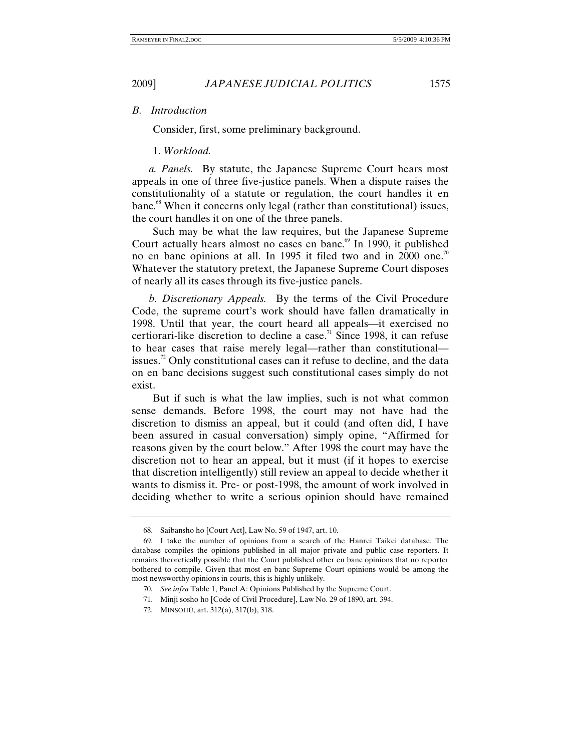*B. Introduction* 

Consider, first, some preliminary background.

1. *Workload.*

 *a. Panels.* By statute, the Japanese Supreme Court hears most appeals in one of three five-justice panels. When a dispute raises the constitutionality of a statute or regulation, the court handles it en banc.<sup>68</sup> When it concerns only legal (rather than constitutional) issues, the court handles it on one of the three panels.

Such may be what the law requires, but the Japanese Supreme Court actually hears almost no cases en banc. $69$  In 1990, it published no en banc opinions at all. In 1995 it filed two and in 2000 one.<sup>70</sup> Whatever the statutory pretext, the Japanese Supreme Court disposes of nearly all its cases through its five-justice panels.

 *b. Discretionary Appeals.* By the terms of the Civil Procedure Code, the supreme court's work should have fallen dramatically in 1998. Until that year, the court heard all appeals—it exercised no certiorari-like discretion to decline a case.<sup>71</sup> Since 1998, it can refuse to hear cases that raise merely legal—rather than constitutional issues.<sup>72</sup> Only constitutional cases can it refuse to decline, and the data on en banc decisions suggest such constitutional cases simply do not exist.

But if such is what the law implies, such is not what common sense demands. Before 1998, the court may not have had the discretion to dismiss an appeal, but it could (and often did, I have been assured in casual conversation) simply opine, "Affirmed for reasons given by the court below." After 1998 the court may have the discretion not to hear an appeal, but it must (if it hopes to exercise that discretion intelligently) still review an appeal to decide whether it wants to dismiss it. Pre- or post-1998, the amount of work involved in deciding whether to write a serious opinion should have remained

 <sup>68.</sup> Saibansho ho [Court Act], Law No. 59 of 1947, art. 10.

 <sup>69.</sup> I take the number of opinions from a search of the Hanrei Taikei database. The database compiles the opinions published in all major private and public case reporters. It remains theoretically possible that the Court published other en banc opinions that no reporter bothered to compile. Given that most en banc Supreme Court opinions would be among the most newsworthy opinions in courts, this is highly unlikely.

<sup>70</sup>*. See infra* Table 1, Panel A: Opinions Published by the Supreme Court.

 <sup>71.</sup> Minji sosho ho [Code of Civil Procedure], Law No. 29 of 1890, art. 394.

 <sup>72.</sup> MINSOHÚ, art. 312(a), 317(b), 318.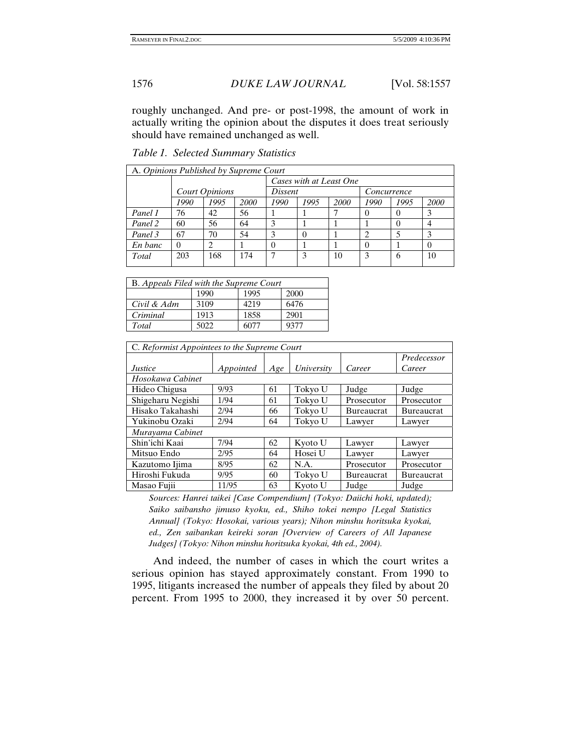roughly unchanged. And pre- or post-1998, the amount of work in actually writing the opinion about the disputes it does treat seriously should have remained unchanged as well.

|  |  | Table 1. Selected Summary Statistics |  |
|--|--|--------------------------------------|--|
|--|--|--------------------------------------|--|

| A. Opinions Published by Supreme Court |                       |      |      |                         |      |      |             |      |      |
|----------------------------------------|-----------------------|------|------|-------------------------|------|------|-------------|------|------|
|                                        |                       |      |      | Cases with at Least One |      |      |             |      |      |
|                                        | <b>Court Opinions</b> |      |      | Dissent                 |      |      | Concurrence |      |      |
|                                        | 1990                  | 1995 | 2000 | 1990                    | 1995 | 2000 | 1990        | 1995 | 2000 |
| Panel 1                                | 76                    | 42   | 56   |                         |      |      | 0           | 0    |      |
| Panel 2                                | 60                    | 56   | 64   | 3                       |      |      |             | 0    |      |
| Panel 3                                | 67                    | 70   | 54   | 3                       |      |      |             |      |      |
| En banc                                | 0                     |      |      |                         |      |      |             |      |      |
| Total                                  | 203                   | 168  | 174  |                         | 3    | 10   |             | 6    | 10   |

| B. Appeals Filed with the Supreme Court |      |       |      |  |  |  |  |
|-----------------------------------------|------|-------|------|--|--|--|--|
|                                         | 1990 | 1995  | 2000 |  |  |  |  |
| Civil & Adm                             | 3109 | 4219  | 6476 |  |  |  |  |
| Criminal                                | 1913 | 1858  | 2901 |  |  |  |  |
| Total                                   | 5022 | 51177 | 9377 |  |  |  |  |

| C. Reformist Appointees to the Supreme Court |           |     |            |                   |                   |  |  |  |
|----------------------------------------------|-----------|-----|------------|-------------------|-------------------|--|--|--|
|                                              |           |     |            |                   | Predecessor       |  |  |  |
| <i>Justice</i>                               | Appointed | Age | University | Career            | Career            |  |  |  |
| Hosokawa Cabinet                             |           |     |            |                   |                   |  |  |  |
| Hideo Chigusa                                | 9/93      | 61  | Tokyo U    | Judge             | Judge             |  |  |  |
| Shigeharu Negishi                            | 1/94      | 61  | Tokyo U    | Prosecutor        | Prosecutor        |  |  |  |
| Hisako Takahashi                             | 2/94      | 66  | Tokyo U    | <b>Bureaucrat</b> | <b>Bureaucrat</b> |  |  |  |
| Yukinobu Ozaki                               | 2/94      | 64  | Tokyo U    | Lawyer            | Lawyer            |  |  |  |
| Murayama Cabinet                             |           |     |            |                   |                   |  |  |  |
| Shin'ichi Kaai                               | 7/94      | 62  | Kyoto U    | Lawyer            | Lawyer            |  |  |  |
| Mitsuo Endo                                  | 2/95      | 64  | Hosei U    | Lawyer            | Lawyer            |  |  |  |
| Kazutomo Ijima                               | 8/95      | 62  | N.A.       | Prosecutor        | Prosecutor        |  |  |  |
| Hiroshi Fukuda                               | 9/95      | 60  | Tokyo U    | <b>Bureaucrat</b> | <b>Bureaucrat</b> |  |  |  |
| Masao Fujii                                  | 11/95     | 63  | Kvoto U    | Judge             | Judge             |  |  |  |

*Sources: Hanrei taikei [Case Compendium] (Tokyo: Daiichi hoki, updated); Saiko saibansho jimuso kyoku, ed., Shiho tokei nempo [Legal Statistics Annual] (Tokyo: Hosokai, various years); Nihon minshu horitsuka kyokai, ed., Zen saibankan keireki soran [Overview of Careers of All Japanese Judges] (Tokyo: Nihon minshu horitsuka kyokai, 4th ed., 2004).* 

And indeed, the number of cases in which the court writes a serious opinion has stayed approximately constant. From 1990 to 1995, litigants increased the number of appeals they filed by about 20 percent. From 1995 to 2000, they increased it by over 50 percent.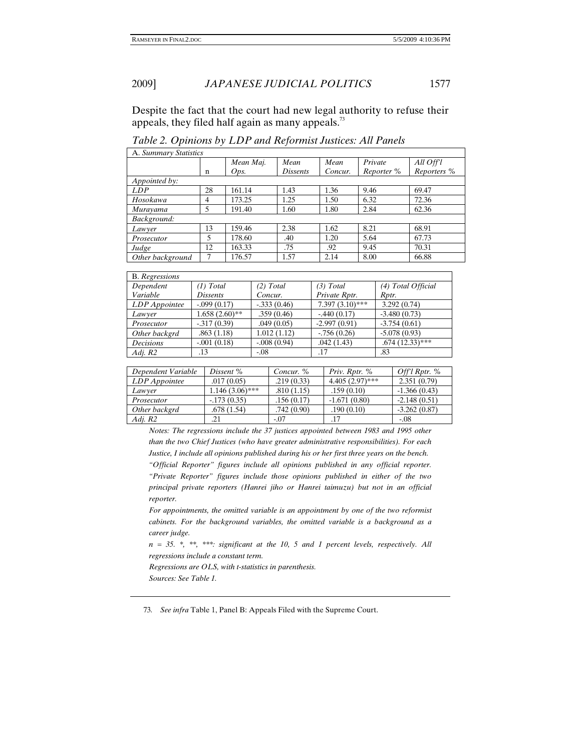Despite the fact that the court had new legal authority to refuse their appeals, they filed half again as many appeals.<sup>73</sup>

| A. Summary Statistics |    |           |          |         |            |                      |  |  |  |
|-----------------------|----|-----------|----------|---------|------------|----------------------|--|--|--|
|                       |    | Mean Maj. | Mean     | Mean    | Private    | All Off <sup>l</sup> |  |  |  |
|                       | n  | Ops.      | Dissents | Concur. | Reporter % | Reporters %          |  |  |  |
| Appointed by:         |    |           |          |         |            |                      |  |  |  |
| LDP                   | 28 | 161.14    | 1.43     | 1.36    | 9.46       | 69.47                |  |  |  |
| Hosokawa              | 4  | 173.25    | 1.25     | 1.50    | 6.32       | 72.36                |  |  |  |
| Murayama              | 5  | 191.40    | 1.60     | 1.80    | 2.84       | 62.36                |  |  |  |
| Background:           |    |           |          |         |            |                      |  |  |  |
| Lawyer                | 13 | 159.46    | 2.38     | 1.62    | 8.21       | 68.91                |  |  |  |
| Prosecutor            | 5  | 178.60    | .40      | 1.20    | 5.64       | 67.73                |  |  |  |
| Judge                 | 12 | 163.33    | .75      | .92     | 9.45       | 70.31                |  |  |  |
| Other background      |    | 176.57    | 1.57     | 2.14    | 8.00       | 66.88                |  |  |  |

*Table 2. Opinions by LDP and Reformist Justices: All Panels* 

| <b>B.</b> Regressions |                  |               |                   |                    |
|-----------------------|------------------|---------------|-------------------|--------------------|
| Dependent             | (1) Total        | $(2)$ Total   | (3) Total         | (4) Total Official |
| Variable              | <i>Dissents</i>  | Concur.       | Private Rptr.     | Rptr.              |
| LDP Appointee         | $-.099(0.17)$    | $-.333(0.46)$ | $7.397(3.10)$ *** | 3.292(0.74)        |
| Lawyer                | $1.658(2.60)$ ** | .359(0.46)    | $-.440(0.17)$     | $-3.480(0.73)$     |
| Prosecutor            | $-.317(0.39)$    | .049(0.05)    | $-2.997(0.91)$    | $-3.754(0.61)$     |
| Other backgrd         | .863(1.18)       | 1.012(1.12)   | $-756(0.26)$      | $-5.078(0.93)$     |
| <b>Decisions</b>      | $-.001(0.18)$    | $-.008(0.94)$ | .042(1.43)        | $.674(12.33)$ ***  |
| Adj. R2               | .13              | $-.08$        | .17               | .83                |

| Dependent Variable | Dissent %         | Concur. %  | Priv. Rptr. %     | Offl Rptr. $%$ |
|--------------------|-------------------|------------|-------------------|----------------|
| LDP Appointee      | .017(0.05)        | .219(0.33) | $4.405(2.97)$ *** | 2.351(0.79)    |
| Lawver             | $1.146(3.06)$ *** | .810(1.15) | .159(0.10)        | $-1.366(0.43)$ |
| Prosecutor         | $-173(0.35)$      | .156(0.17) | $-1.671(0.80)$    | $-2.148(0.51)$ |
| Other backgrd      | .678(1.54)        | .742(0.90) | .190(0.10)        | $-3.262(0.87)$ |
| Adi. R2            | .21               | $-.07$     | .17               | $-.08$         |

*Notes: The regressions include the 37 justices appointed between 1983 and 1995 other than the two Chief Justices (who have greater administrative responsibilities). For each Justice, I include all opinions published during his or her first three years on the bench.* 

*"Official Reporter" figures include all opinions published in any official reporter. "Private Reporter" figures include those opinions published in either of the two principal private reporters (Hanrei jiho or Hanrei taimuzu) but not in an official reporter.* 

For appointments, the omitted variable is an appointment by one of the two reformist *cabinets. For the background variables, the omitted variable is a background as a career judge.* 

*n = 35. \*, \*\*, \*\*\*: significant at the 10, 5 and 1 percent levels, respectively. All regressions include a constant term.* 

*Regressions are OLS, with t-statistics in parenthesis. Sources: See Table 1.* 

73*. See infra* Table 1, Panel B: Appeals Filed with the Supreme Court.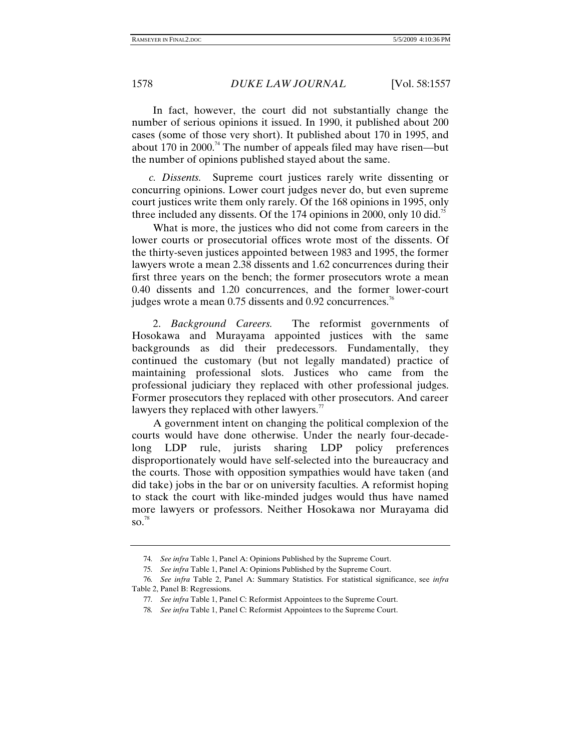In fact, however, the court did not substantially change the number of serious opinions it issued. In 1990, it published about 200 cases (some of those very short). It published about 170 in 1995, and about  $170$  in 2000.<sup>74</sup> The number of appeals filed may have risen—but the number of opinions published stayed about the same.

 *c. Dissents.* Supreme court justices rarely write dissenting or concurring opinions. Lower court judges never do, but even supreme court justices write them only rarely. Of the 168 opinions in 1995, only three included any dissents. Of the 174 opinions in 2000, only 10 did. $\frac{5}{5}$ 

What is more, the justices who did not come from careers in the lower courts or prosecutorial offices wrote most of the dissents. Of the thirty-seven justices appointed between 1983 and 1995, the former lawyers wrote a mean 2.38 dissents and 1.62 concurrences during their first three years on the bench; the former prosecutors wrote a mean 0.40 dissents and 1.20 concurrences, and the former lower-court judges wrote a mean  $0.75$  dissents and  $0.92$  concurrences.<sup>76</sup>

2. *Background Careers.* The reformist governments of Hosokawa and Murayama appointed justices with the same backgrounds as did their predecessors. Fundamentally, they continued the customary (but not legally mandated) practice of maintaining professional slots. Justices who came from the professional judiciary they replaced with other professional judges. Former prosecutors they replaced with other prosecutors. And career lawyers they replaced with other lawyers. $\frac{7}{7}$ 

A government intent on changing the political complexion of the courts would have done otherwise. Under the nearly four-decadelong LDP rule, jurists sharing LDP policy preferences disproportionately would have self-selected into the bureaucracy and the courts. Those with opposition sympathies would have taken (and did take) jobs in the bar or on university faculties. A reformist hoping to stack the court with like-minded judges would thus have named more lawyers or professors. Neither Hosokawa nor Murayama did  $\mathrm{so.}^{78}$ 

<sup>74</sup>*. See infra* Table 1, Panel A: Opinions Published by the Supreme Court.

<sup>75</sup>*. See infra* Table 1, Panel A: Opinions Published by the Supreme Court.

<sup>76</sup>*. See infra* Table 2, Panel A: Summary Statistics. For statistical significance, see *infra*  Table 2, Panel B: Regressions.

<sup>77</sup>*. See infra* Table 1, Panel C: Reformist Appointees to the Supreme Court.

<sup>78</sup>*. See infra* Table 1, Panel C: Reformist Appointees to the Supreme Court.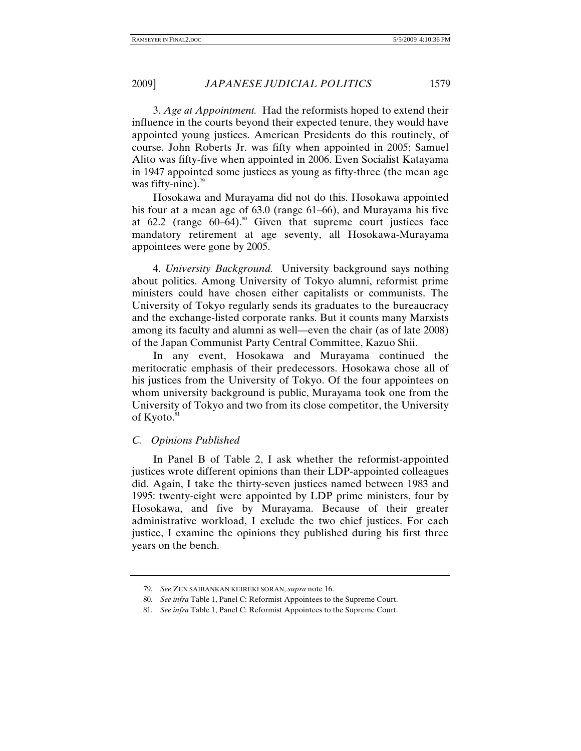3. *Age at Appointment.* Had the reformists hoped to extend their influence in the courts beyond their expected tenure, they would have appointed young justices. American Presidents do this routinely, of course. John Roberts Jr. was fifty when appointed in 2005; Samuel Alito was fifty-five when appointed in 2006. Even Socialist Katayama in 1947 appointed some justices as young as fifty-three (the mean age was fifty-nine). $79$ 

Hosokawa and Murayama did not do this. Hosokawa appointed his four at a mean age of 63.0 (range 61–66), and Murayama his five at  $62.2$  (range  $60-64$ ).<sup>80</sup> Given that supreme court justices face mandatory retirement at age seventy, all Hosokawa-Murayama appointees were gone by 2005.

4. *University Background.* University background says nothing about politics. Among University of Tokyo alumni, reformist prime ministers could have chosen either capitalists or communists. The University of Tokyo regularly sends its graduates to the bureaucracy and the exchange-listed corporate ranks. But it counts many Marxists among its faculty and alumni as well—even the chair (as of late 2008) of the Japan Communist Party Central Committee, Kazuo Shii.

In any event, Hosokawa and Murayama continued the meritocratic emphasis of their predecessors. Hosokawa chose all of his justices from the University of Tokyo. Of the four appointees on whom university background is public, Murayama took one from the University of Tokyo and two from its close competitor, the University of Kyoto.<sup>81</sup>

### *C. Opinions Published*

In Panel B of Table 2, I ask whether the reformist-appointed justices wrote different opinions than their LDP-appointed colleagues did. Again, I take the thirty-seven justices named between 1983 and 1995: twenty-eight were appointed by LDP prime ministers, four by Hosokawa, and five by Murayama. Because of their greater administrative workload, I exclude the two chief justices. For each justice, I examine the opinions they published during his first three years on the bench.

<sup>79</sup>*. See* ZEN SAIBANKAN KEIREKI SORAN, *supra* note 16.

<sup>80</sup>*. See infra* Table 1, Panel C: Reformist Appointees to the Supreme Court.

<sup>81</sup>*. See infra* Table 1, Panel C: Reformist Appointees to the Supreme Court.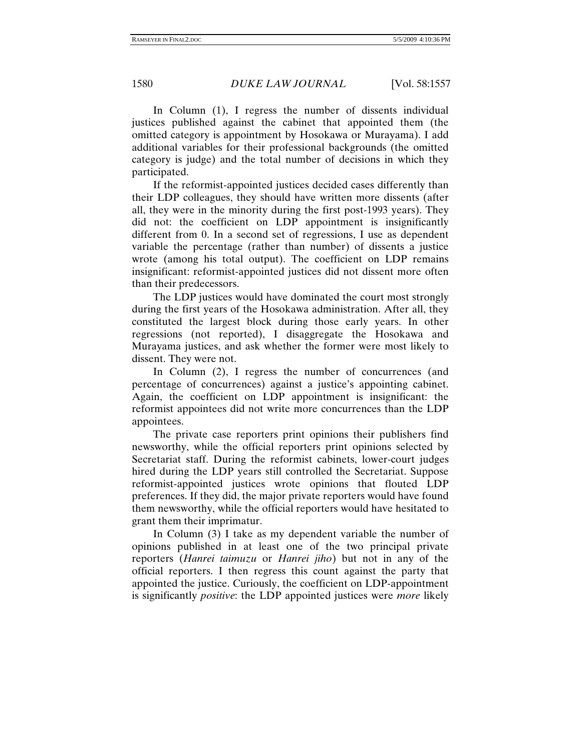In Column (1), I regress the number of dissents individual justices published against the cabinet that appointed them (the omitted category is appointment by Hosokawa or Murayama). I add additional variables for their professional backgrounds (the omitted category is judge) and the total number of decisions in which they participated.

If the reformist-appointed justices decided cases differently than their LDP colleagues, they should have written more dissents (after all, they were in the minority during the first post-1993 years). They did not: the coefficient on LDP appointment is insignificantly different from 0. In a second set of regressions, I use as dependent variable the percentage (rather than number) of dissents a justice wrote (among his total output). The coefficient on LDP remains insignificant: reformist-appointed justices did not dissent more often than their predecessors.

The LDP justices would have dominated the court most strongly during the first years of the Hosokawa administration. After all, they constituted the largest block during those early years. In other regressions (not reported), I disaggregate the Hosokawa and Murayama justices, and ask whether the former were most likely to dissent. They were not.

In Column (2), I regress the number of concurrences (and percentage of concurrences) against a justice's appointing cabinet. Again, the coefficient on LDP appointment is insignificant: the reformist appointees did not write more concurrences than the LDP appointees.

The private case reporters print opinions their publishers find newsworthy, while the official reporters print opinions selected by Secretariat staff. During the reformist cabinets, lower-court judges hired during the LDP years still controlled the Secretariat. Suppose reformist-appointed justices wrote opinions that flouted LDP preferences. If they did, the major private reporters would have found them newsworthy, while the official reporters would have hesitated to grant them their imprimatur.

In Column (3) I take as my dependent variable the number of opinions published in at least one of the two principal private reporters (*Hanrei taimuzu* or *Hanrei jiho*) but not in any of the official reporters. I then regress this count against the party that appointed the justice. Curiously, the coefficient on LDP-appointment is significantly *positive*: the LDP appointed justices were *more* likely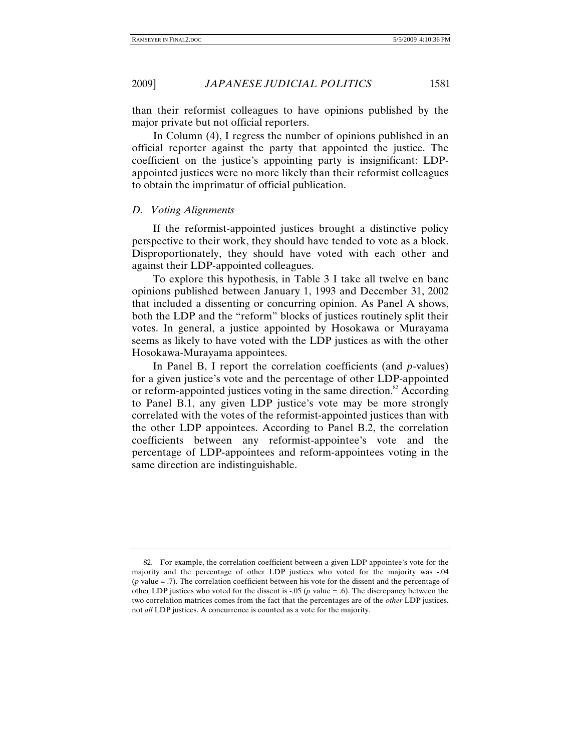than their reformist colleagues to have opinions published by the major private but not official reporters.

In Column (4), I regress the number of opinions published in an official reporter against the party that appointed the justice. The coefficient on the justice's appointing party is insignificant: LDPappointed justices were no more likely than their reformist colleagues to obtain the imprimatur of official publication.

### *D. Voting Alignments*

If the reformist-appointed justices brought a distinctive policy perspective to their work, they should have tended to vote as a block. Disproportionately, they should have voted with each other and against their LDP-appointed colleagues.

To explore this hypothesis, in Table 3 I take all twelve en banc opinions published between January 1, 1993 and December 31, 2002 that included a dissenting or concurring opinion. As Panel A shows, both the LDP and the "reform" blocks of justices routinely split their votes. In general, a justice appointed by Hosokawa or Murayama seems as likely to have voted with the LDP justices as with the other Hosokawa-Murayama appointees.

In Panel B, I report the correlation coefficients (and *p*-values) for a given justice's vote and the percentage of other LDP-appointed or reform-appointed justices voting in the same direction.<sup>82</sup> According to Panel B.1, any given LDP justice's vote may be more strongly correlated with the votes of the reformist-appointed justices than with the other LDP appointees. According to Panel B.2, the correlation coefficients between any reformist-appointee's vote and the percentage of LDP-appointees and reform-appointees voting in the same direction are indistinguishable.

 <sup>82.</sup> For example, the correlation coefficient between a given LDP appointee's vote for the majority and the percentage of other LDP justices who voted for the majority was -.04 (*p* value = .7). The correlation coefficient between his vote for the dissent and the percentage of other LDP justices who voted for the dissent is -.05 (*p* value = .6). The discrepancy between the two correlation matrices comes from the fact that the percentages are of the *other* LDP justices, not *all* LDP justices. A concurrence is counted as a vote for the majority.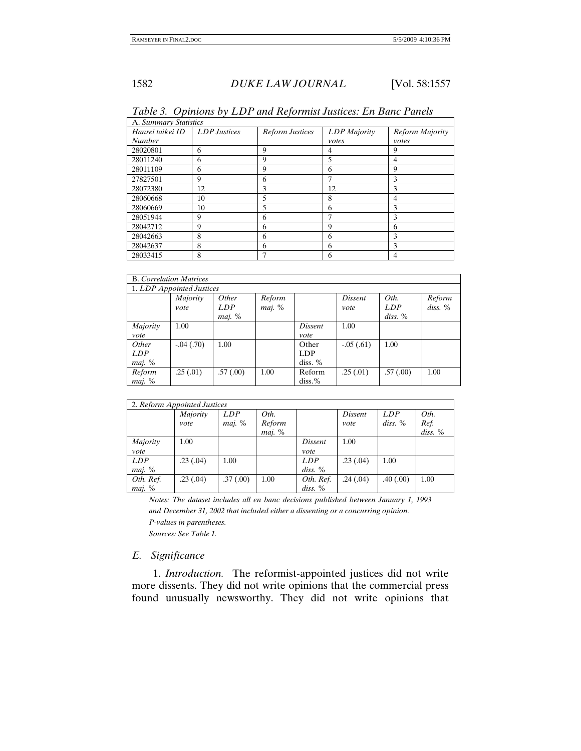| A. Summary Statistics |                     |                        |              |                 |  |  |  |
|-----------------------|---------------------|------------------------|--------------|-----------------|--|--|--|
| Hanrei taikei ID      | <b>LDP</b> Justices | <b>Reform Justices</b> | LDP Majority | Reform Majority |  |  |  |
| <b>Number</b>         |                     |                        | votes        | votes           |  |  |  |
| 28020801              | 6                   | 9                      | 4            | 9               |  |  |  |
| 28011240              | 6                   | 9                      | 5            | 4               |  |  |  |
| 28011109              | 6                   | 9                      | 6            | q               |  |  |  |
| 27827501              | 9                   | 6                      | 7            | 3               |  |  |  |
| 28072380              | 12                  | 3                      | 12           | 3               |  |  |  |
| 28060668              | 10                  | 5                      | 8            | 4               |  |  |  |
| 28060669              | 10                  | 5                      | 6            | 3               |  |  |  |
| 28051944              | 9                   | 6                      | 7            | 3               |  |  |  |
| 28042712              | 9                   | 6                      | 9            | 6               |  |  |  |
| 28042663              | 8                   | 6                      | 6            | 3               |  |  |  |
| 28042637              | 8                   | 6                      | 6            | 3               |  |  |  |
| 28033415              | 8                   |                        | 6            |                 |  |  |  |

*Table 3. Opinions by LDP and Reformist Justices: En Banc Panels* 

|            | <b>B.</b> Correlation Matrices |          |        |           |             |           |         |  |  |
|------------|--------------------------------|----------|--------|-----------|-------------|-----------|---------|--|--|
|            | 1. LDP Appointed Justices      |          |        |           |             |           |         |  |  |
|            | Majority                       | Other    | Reform |           | Dissent     | Oth.      | Reform  |  |  |
|            | vote                           | LDP      | maj. % |           | vote        | LDP       | diss. % |  |  |
|            |                                | maj. %   |        |           |             | $diss.$ % |         |  |  |
| Majority   | 1.00                           |          |        | Dissent   | 1.00        |           |         |  |  |
| vote       |                                |          |        | vote      |             |           |         |  |  |
| Other      | $-0.04(0.70)$                  | 1.00     |        | Other     | $-.05(.61)$ | 1.00      |         |  |  |
| <i>LDP</i> |                                |          |        | LDP       |             |           |         |  |  |
| maj. %     |                                |          |        | diss. %   |             |           |         |  |  |
| Reform     | .25(.01)                       | .57(.00) | 1.00   | Reform    | .25(.01)    | .57(.00)  | 1.00    |  |  |
| maj. %     |                                |          |        | $diss.$ % |             |           |         |  |  |

| 2. Reform Appointed Justices |          |            |        |            |          |           |           |  |
|------------------------------|----------|------------|--------|------------|----------|-----------|-----------|--|
|                              | Majority | <i>LDP</i> | Oth.   |            | Dissent  | LDP       | Oth.      |  |
|                              | vote     | maj. %     | Reform |            | vote     | $diss.$ % | Ref.      |  |
|                              |          |            | maj. % |            |          |           | $diss.$ % |  |
| Majority                     | 1.00     |            |        | Dissent    | 1.00     |           |           |  |
| vote                         |          |            |        | vote       |          |           |           |  |
| LDP                          | .23(.04) | 1.00       |        | <b>LDP</b> | .23(.04) | 1.00      |           |  |
| maj. %                       |          |            |        | $diss.$ %  |          |           |           |  |
| Oth. Ref.                    | .23(.04) | .37(.00)   | 1.00   | Oth. Ref.  | .24(.04) | .40(.00)  | 1.00      |  |
| maj. %                       |          |            |        | $diss.$ %  |          |           |           |  |

*Notes: The dataset includes all en banc decisions published between January 1, 1993 and December 31, 2002 that included either a dissenting or a concurring opinion. P-values in parentheses. Sources: See Table 1.* 

### *E. Significance*

1. *Introduction.* The reformist-appointed justices did not write more dissents. They did not write opinions that the commercial press found unusually newsworthy. They did not write opinions that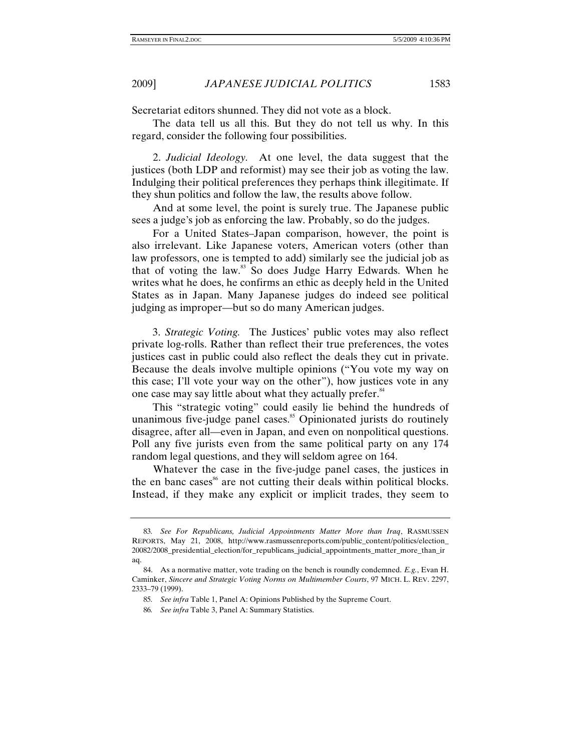2009] *JAPANESE JUDICIAL POLITICS* 1583

Secretariat editors shunned. They did not vote as a block.

The data tell us all this. But they do not tell us why. In this regard, consider the following four possibilities.

2. *Judicial Ideology.* At one level, the data suggest that the justices (both LDP and reformist) may see their job as voting the law. Indulging their political preferences they perhaps think illegitimate. If they shun politics and follow the law, the results above follow.

And at some level, the point is surely true. The Japanese public sees a judge's job as enforcing the law. Probably, so do the judges.

For a United States–Japan comparison, however, the point is also irrelevant. Like Japanese voters, American voters (other than law professors, one is tempted to add) similarly see the judicial job as that of voting the law.<sup>83</sup> So does Judge Harry Edwards. When he writes what he does, he confirms an ethic as deeply held in the United States as in Japan. Many Japanese judges do indeed see political judging as improper—but so do many American judges.

3. *Strategic Voting.* The Justices' public votes may also reflect private log-rolls. Rather than reflect their true preferences, the votes justices cast in public could also reflect the deals they cut in private. Because the deals involve multiple opinions ("You vote my way on this case; I'll vote your way on the other"), how justices vote in any one case may say little about what they actually prefer.<sup>84</sup>

This "strategic voting" could easily lie behind the hundreds of unanimous five-judge panel cases. $85$  Opinionated jurists do routinely disagree, after all—even in Japan, and even on nonpolitical questions. Poll any five jurists even from the same political party on any 174 random legal questions, and they will seldom agree on 164.

Whatever the case in the five-judge panel cases, the justices in the en banc cases<sup>86</sup> are not cutting their deals within political blocks. Instead, if they make any explicit or implicit trades, they seem to

<sup>83</sup>*. See For Republicans, Judicial Appointments Matter More than Iraq*, RASMUSSEN REPORTS, May 21, 2008, http://www.rasmussenreports.com/public\_content/politics/election\_ 20082/2008\_presidential\_election/for\_republicans\_judicial\_appointments\_matter\_more\_than\_ir aq.

 <sup>84.</sup> As a normative matter, vote trading on the bench is roundly condemned. *E.g.*, Evan H. Caminker, *Sincere and Strategic Voting Norms on Multimember Courts*, 97 MICH. L. REV. 2297, 2333–79 (1999).

<sup>85</sup>*. See infra* Table 1, Panel A: Opinions Published by the Supreme Court.

<sup>86</sup>*. See infra* Table 3, Panel A: Summary Statistics.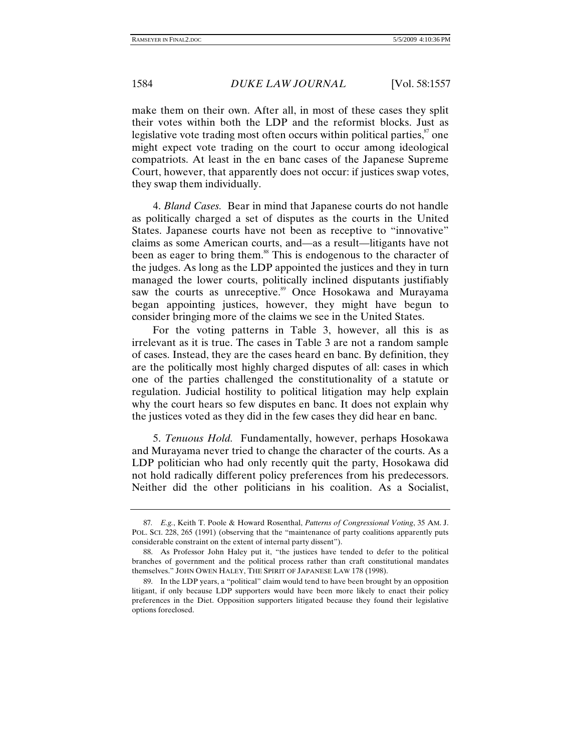make them on their own. After all, in most of these cases they split their votes within both the LDP and the reformist blocks. Just as legislative vote trading most often occurs within political parties, $\frac{87}{3}$  one might expect vote trading on the court to occur among ideological compatriots. At least in the en banc cases of the Japanese Supreme Court, however, that apparently does not occur: if justices swap votes, they swap them individually.

4. *Bland Cases.* Bear in mind that Japanese courts do not handle as politically charged a set of disputes as the courts in the United States. Japanese courts have not been as receptive to "innovative" claims as some American courts, and—as a result—litigants have not been as eager to bring them.<sup>88</sup> This is endogenous to the character of the judges. As long as the LDP appointed the justices and they in turn managed the lower courts, politically inclined disputants justifiably saw the courts as unreceptive.<sup>89</sup> Once Hosokawa and Murayama began appointing justices, however, they might have begun to consider bringing more of the claims we see in the United States.

For the voting patterns in Table 3, however, all this is as irrelevant as it is true. The cases in Table 3 are not a random sample of cases. Instead, they are the cases heard en banc. By definition, they are the politically most highly charged disputes of all: cases in which one of the parties challenged the constitutionality of a statute or regulation. Judicial hostility to political litigation may help explain why the court hears so few disputes en banc. It does not explain why the justices voted as they did in the few cases they did hear en banc.

5. *Tenuous Hold.* Fundamentally, however, perhaps Hosokawa and Murayama never tried to change the character of the courts. As a LDP politician who had only recently quit the party, Hosokawa did not hold radically different policy preferences from his predecessors. Neither did the other politicians in his coalition. As a Socialist,

<sup>87</sup>*. E.g.*, Keith T. Poole & Howard Rosenthal, *Patterns of Congressional Voting*, 35 AM. J. POL. SCI. 228, 265 (1991) (observing that the "maintenance of party coalitions apparently puts considerable constraint on the extent of internal party dissent").

 <sup>88.</sup> As Professor John Haley put it, "the justices have tended to defer to the political branches of government and the political process rather than craft constitutional mandates themselves." JOHN OWEN HALEY, THE SPIRIT OF JAPANESE LAW 178 (1998).

 <sup>89.</sup> In the LDP years, a "political" claim would tend to have been brought by an opposition litigant, if only because LDP supporters would have been more likely to enact their policy preferences in the Diet. Opposition supporters litigated because they found their legislative options foreclosed.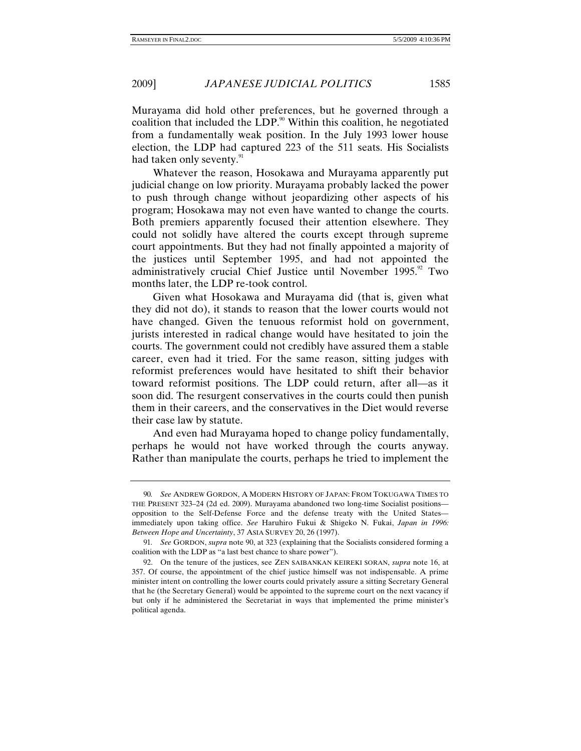Murayama did hold other preferences, but he governed through a coalition that included the LDP.<sup>90</sup> Within this coalition, he negotiated from a fundamentally weak position. In the July 1993 lower house election, the LDP had captured 223 of the 511 seats. His Socialists had taken only seventy.<sup>91</sup>

Whatever the reason, Hosokawa and Murayama apparently put judicial change on low priority. Murayama probably lacked the power to push through change without jeopardizing other aspects of his program; Hosokawa may not even have wanted to change the courts. Both premiers apparently focused their attention elsewhere. They could not solidly have altered the courts except through supreme court appointments. But they had not finally appointed a majority of the justices until September 1995, and had not appointed the administratively crucial Chief Justice until November 1995.<sup>92</sup> Two months later, the LDP re-took control.

Given what Hosokawa and Murayama did (that is, given what they did not do), it stands to reason that the lower courts would not have changed. Given the tenuous reformist hold on government, jurists interested in radical change would have hesitated to join the courts. The government could not credibly have assured them a stable career, even had it tried. For the same reason, sitting judges with reformist preferences would have hesitated to shift their behavior toward reformist positions. The LDP could return, after all—as it soon did. The resurgent conservatives in the courts could then punish them in their careers, and the conservatives in the Diet would reverse their case law by statute.

And even had Murayama hoped to change policy fundamentally, perhaps he would not have worked through the courts anyway. Rather than manipulate the courts, perhaps he tried to implement the

<sup>90</sup>*. See* ANDREW GORDON, A MODERN HISTORY OF JAPAN: FROM TOKUGAWA TIMES TO THE PRESENT 323–24 (2d ed. 2009). Murayama abandoned two long-time Socialist positions opposition to the Self-Defense Force and the defense treaty with the United States immediately upon taking office. *See* Haruhiro Fukui & Shigeko N. Fukai, *Japan in 1996: Between Hope and Uncertainty*, 37 ASIA SURVEY 20, 26 (1997).

<sup>91</sup>*. See* GORDON, *supra* note 90, at 323 (explaining that the Socialists considered forming a coalition with the LDP as "a last best chance to share power").

 <sup>92.</sup> On the tenure of the justices, see ZEN SAIBANKAN KEIREKI SORAN, *supra* note 16, at 357. Of course, the appointment of the chief justice himself was not indispensable. A prime minister intent on controlling the lower courts could privately assure a sitting Secretary General that he (the Secretary General) would be appointed to the supreme court on the next vacancy if but only if he administered the Secretariat in ways that implemented the prime minister's political agenda.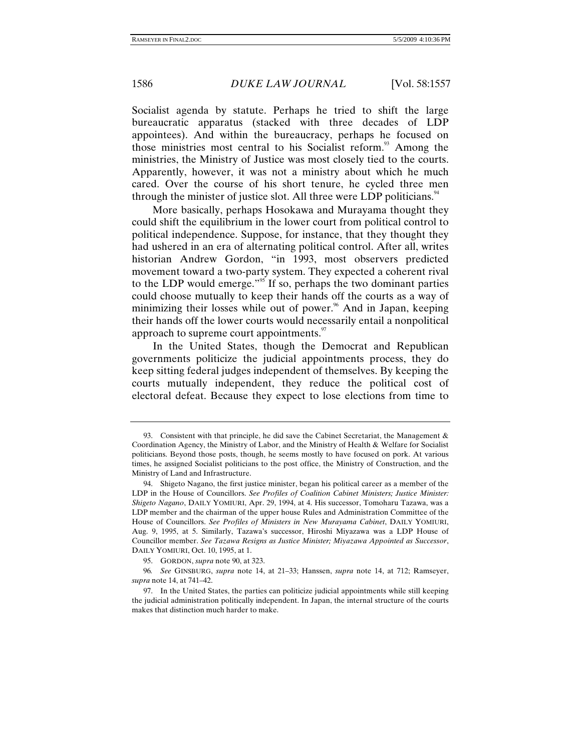Socialist agenda by statute. Perhaps he tried to shift the large bureaucratic apparatus (stacked with three decades of LDP appointees). And within the bureaucracy, perhaps he focused on those ministries most central to his Socialist reform.<sup>93</sup> Among the ministries, the Ministry of Justice was most closely tied to the courts. Apparently, however, it was not a ministry about which he much cared. Over the course of his short tenure, he cycled three men through the minister of justice slot. All three were LDP politicians. $44$ 

More basically, perhaps Hosokawa and Murayama thought they could shift the equilibrium in the lower court from political control to political independence. Suppose, for instance, that they thought they had ushered in an era of alternating political control. After all, writes historian Andrew Gordon, "in 1993, most observers predicted movement toward a two-party system. They expected a coherent rival to the LDP would emerge."<sup>95</sup> If so, perhaps the two dominant parties could choose mutually to keep their hands off the courts as a way of minimizing their losses while out of power.<sup>96</sup> And in Japan, keeping their hands off the lower courts would necessarily entail a nonpolitical approach to supreme court appointments.<sup>97</sup>

In the United States, though the Democrat and Republican governments politicize the judicial appointments process, they do keep sitting federal judges independent of themselves. By keeping the courts mutually independent, they reduce the political cost of electoral defeat. Because they expect to lose elections from time to

 <sup>93.</sup> Consistent with that principle, he did save the Cabinet Secretariat, the Management & Coordination Agency, the Ministry of Labor, and the Ministry of Health & Welfare for Socialist politicians. Beyond those posts, though, he seems mostly to have focused on pork. At various times, he assigned Socialist politicians to the post office, the Ministry of Construction, and the Ministry of Land and Infrastructure.

 <sup>94.</sup> Shigeto Nagano, the first justice minister, began his political career as a member of the LDP in the House of Councillors. *See Profiles of Coalition Cabinet Ministers; Justice Minister: Shigeto Nagano*, DAILY YOMIURI, Apr. 29, 1994, at 4. His successor, Tomoharu Tazawa, was a LDP member and the chairman of the upper house Rules and Administration Committee of the House of Councillors. *See Profiles of Ministers in New Murayama Cabinet*, DAILY YOMIURI, Aug. 9, 1995, at 5. Similarly, Tazawa's successor, Hiroshi Miyazawa was a LDP House of Councillor member. *See Tazawa Resigns as Justice Minister; Miyazawa Appointed as Successor*, DAILY YOMIURI, Oct. 10, 1995, at 1.

 <sup>95.</sup> GORDON, *supra* note 90, at 323.

<sup>96</sup>*. See* GINSBURG, *supra* note 14, at 21–33; Hanssen, *supra* note 14, at 712; Ramseyer, *supra* note 14, at 741–42.

 <sup>97.</sup> In the United States, the parties can politicize judicial appointments while still keeping the judicial administration politically independent. In Japan, the internal structure of the courts makes that distinction much harder to make.